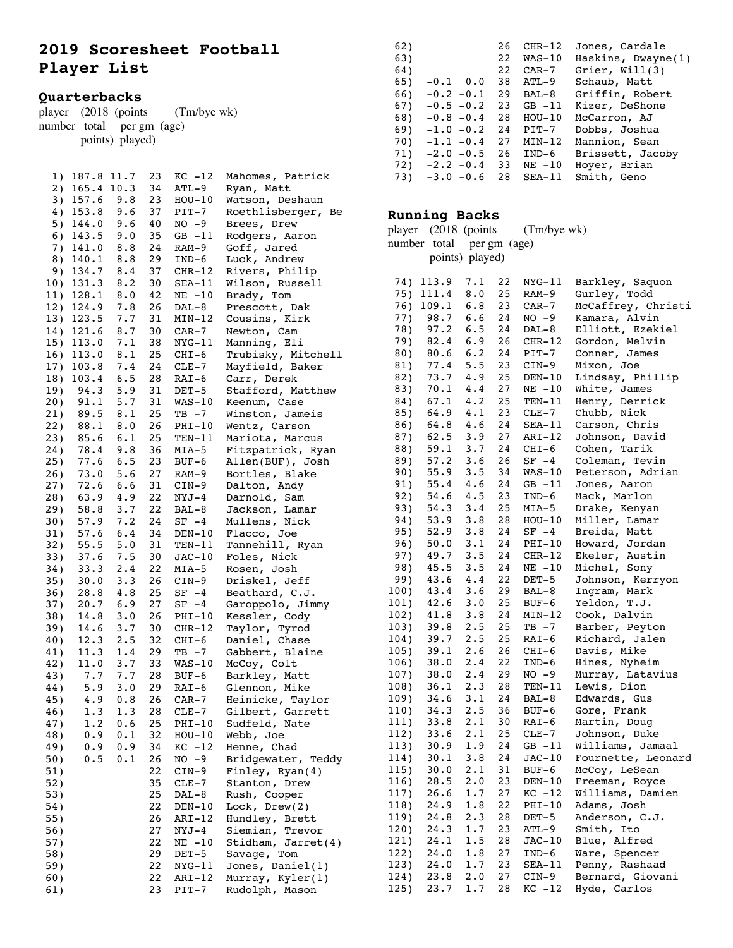# **2019 Scoresheet Football Player List**

## **Quarterbacks**

| <b>Ouarterbacks</b> |  |                           |                                  |  |  |  |  |  |  |
|---------------------|--|---------------------------|----------------------------------|--|--|--|--|--|--|
|                     |  |                           | player (2018 (points (Tm/bye wk) |  |  |  |  |  |  |
|                     |  | number total per gm (age) |                                  |  |  |  |  |  |  |
|                     |  | points) played)           |                                  |  |  |  |  |  |  |

|            | 1) 187.8 11.7                |                      | 23              | $KC -12$                     | Mahomes, Patrick   |
|------------|------------------------------|----------------------|-----------------|------------------------------|--------------------|
|            | 2) 165.4                     | 10.3                 | 34              | $ATL-9$                      | Ryan, Matt         |
|            | 3) 157.6 9.8                 |                      | 23              | $HOU-10$                     | Watson, Deshaun    |
|            | 4) 153.8                     | 9.6                  | 37              | $PIT-7$                      | Roethlisberger, Be |
|            | 5) $144.0$                   | 9.6 40               |                 | $NO -9$                      | Brees, Drew        |
|            | $6)$ 143.5                   | 9.0                  | 35              | $GB -11$                     | Rodgers, Aaron     |
|            | 7) 141.0                     | 8.8                  | 24              | RAM-9                        | Goff, Jared        |
|            | 8) 140.1                     | 8.8                  | 29              | $IND-6$                      | Luck, Andrew       |
|            | 9) 134.7 8.4                 |                      | 37              | $CHR-12$                     | Rivers, Philip     |
|            | 10) 131.3                    | 8.2                  | 30              | $SEA-11$                     | Wilson, Russell    |
|            | 11) 128.1                    | 8.0                  | 42              | NE -10                       | Brady, Tom         |
|            | 12) 124.9                    | 7.8                  | 26              | DAL-8                        | Prescott, Dak      |
|            | 13) 123.5                    | 7.7                  | 31              | $MIN-12$                     | Cousins, Kirk      |
|            | 14) 121.6                    |                      | 30              |                              |                    |
|            |                              | $8.7$<br>$7.1$       |                 | CAR-7                        | Newton, Cam        |
|            | 15) 113.0                    |                      |                 | 38 NYG-11                    | Manning, Eli       |
|            | 16) 113.0                    |                      |                 | 8.1 25 CHI-6                 | Trubisky, Mitchell |
|            | 17) 103.8                    | $7.4$<br>6.5         | 24              | $CLE-7$                      | Mayfield, Baker    |
|            | 18) 103.4                    |                      | 28              | RAI-6                        | Carr, Derek        |
| 19)        | 94.3                         | 5.9                  | 31              | $DEF-5$                      | Stafford, Matthew  |
|            | 20) 91.1<br>21) 89.5         | 5.7                  |                 | 31 WAS-10                    | Keenum, Case       |
|            |                              | 8.1                  |                 | $25$ TB $-7$                 | Winston, Jameis    |
| 22)        | 88.1                         | 8.0                  |                 | 26 PHI-10                    | Wentz, Carson      |
| 23)        | 85.6<br>23) 85.6<br>24) 78.4 | 6.1                  | 25              | $TEN-11$                     | Mariota, Marcus    |
|            |                              | 9.8                  | 36              | $MIA-5$                      | Fitzpatrick, Ryan  |
| 25)        | 77.6                         | 6.5                  | 23              | BUF-6                        | Allen(BUF), Josh   |
| 26)        | 73.0                         |                      | 27              | RAM-9                        | Bortles, Blake     |
|            | $27)$ 72.6                   | $5.6$ 27<br>$6.6$ 31 |                 | $CIN-9$                      | Dalton, Andy       |
| 28)        |                              | 63.9 4.9 22          |                 | $NYJ-4$                      | Darnold, Sam       |
| 29)        | 58.8                         | 3.7                  | 22              | BAL-8                        | Jackson, Lamar     |
|            | 30) 57.9                     | $7.2$ 24             |                 | $SF -4$                      | Mullens, Nick      |
| 31)        | 57.6                         | 6.4                  | 34              | DEN $-10$                    | Flacco, Joe        |
| 32)        | 55.5                         | 5.0                  |                 | 31 TEN-11                    | Tannehill, Ryan    |
| 33)        | 37.6                         | 7.5                  | 30 <sup>°</sup> | $JAC-10$                     | Foles, Nick        |
| 34)        | 33.3                         | $2 \cdot 4$          | 22              | MIA-5                        | Rosen, Josh        |
| 35)        | 30.0                         | 3.3                  | 26              | $CIN-9$                      | Driskel, Jeff      |
|            | 36) 28.8                     | 4.8                  | 25              | $SF -4$                      | Beathard, C.J.     |
| 37)        | 20.7                         | 6.9                  | 27              | $SF -4$                      | Garoppolo, Jimmy   |
| 38)        | 14.8                         | $3 \cdot 0$          | 26              | $PHI-10$                     | Kessler, Cody      |
|            | 39) 14.6                     |                      |                 | 3.7 30 CHR-12                | Taylor, Tyrod      |
|            |                              | 2.5                  | 32              |                              | Daniel, Chase      |
| 40)<br>41) | 12.3<br>11.3                 | 1.4                  | 29              | CHI-6<br>$TB - 7$            | Gabbert, Blaine    |
|            | 42) 11.0                     | $3.7$ 33             |                 | $WAS-10$                     |                    |
|            |                              |                      |                 |                              | McCoy, Colt        |
| 43)        | 7.7                          | 7.7                  |                 | 7.7 28 BUF-6<br>3.0 29 RAI-6 | Barkley, Matt      |
| 44)        | 5.9<br>45) 4.9               |                      |                 |                              | Glennon, Mike      |
|            |                              | $0.8$ 26             |                 | $CAR-7$                      | Heinicke, Taylor   |
| 46)        | 1.3                          | 1.3                  | 28              | CLE-7                        | Gilbert, Garrett   |
| 47)        | 1.2                          | 0.6                  | 25              | PHI-10                       | Sudfeld, Nate      |
| 48)        | 0.9                          | 0.1                  | 32              | $HOU-10$                     | Webb, Joe          |
| 49)        | 0.9                          | 0.9                  | 34              | $KC -12$                     | Henne, Chad        |
| 50)        | 0.5                          | 0.1                  | 26              | $NO - 9$                     | Bridgewater, Teddy |
| 51)        |                              |                      | 22              | $CIN-9$                      | Finley, Ryan(4)    |
| 52)        |                              |                      | 35              | $CLE-7$                      | Stanton, Drew      |
| 53)        |                              |                      | 25              | $DAL-8$                      | Rush, Cooper       |
| 54)        |                              |                      | 22              | $DEN-10$                     | Lock, $Drew(2)$    |
| 55)        |                              |                      | 26              | ARI-12                       | Hundley, Brett     |
| 56)        |                              |                      | 27              | $NYJ-4$                      | Siemian, Trevor    |
| 57)        |                              |                      | 22              | $NE -10$                     | Stidham, Jarret(4) |
| 58)        |                              |                      | 29              | DET-5                        | Savage, Tom        |
| 59)        |                              |                      | 22              | $NYG-11$                     | Jones, Daniel(1)   |
| 60)        |                              |                      | 22              | ARI-12                       | Murray, Kyler(1)   |
| 61)        |                              |                      | 23              | $PIT-7$                      | Rudolph, Mason     |

| 62) |                  | 26 | $CHR-12$  | Jones, Cardale     |
|-----|------------------|----|-----------|--------------------|
| 63) |                  | 22 | $WAS-10$  | Haskins, Dwayne(1) |
| 64) |                  | 22 | CAR-7     | Grier, $Will(3)$   |
| 65) | $-0.1 \quad 0.0$ | 38 | ATL-9     | Schaub, Matt       |
| 66) | $-0.2 -0.1$      | 29 | BAL-8     | Griffin, Robert    |
| 67) | $-0.5 - 0.2$     | 23 | $GB -11$  | Kizer, DeShone     |
| 68) | $-0.8 - 0.4$     | 28 | $HOU-10$  | McCarron, AJ       |
| 69) | $-1.0 - 0.2$     | 24 | PIT-7     | Dobbs, Joshua      |
| 70) | $-1.1 - 0.4$     | 27 | $MIN-12$  | Mannion, Sean      |
| 71) | $-2.0 - 0.5$     | 26 | IND-6     | Brissett, Jacoby   |
| 72) | $-2.2 - 0.4$     | 33 | $NE - 10$ | Hoyer, Brian       |
| 73) | $-3.0 - 0.6$     | 28 | $SEA-11$  | Smith, Geno        |
|     |                  |    |           |                    |

#### **Running Backs**

| (Tm/bye wk)<br>player (2018 (points |                  |             |          |                     |                                  |  |  |  |
|-------------------------------------|------------------|-------------|----------|---------------------|----------------------------------|--|--|--|
| number<br>total per gm (age)        |                  |             |          |                     |                                  |  |  |  |
|                                     | points) played)  |             |          |                     |                                  |  |  |  |
|                                     |                  |             |          |                     |                                  |  |  |  |
|                                     | 74) 113.9        | 7.1         | 22       | NYG-11              | Barkley, Saquon                  |  |  |  |
| 75)                                 | 111.4            | 8.0         | 25       | $RAM-9$             | Gurley, Todd                     |  |  |  |
| 76)                                 | 109.1            | 6.8         | 23       | $CAR-7$             | McCaffrey, Christi               |  |  |  |
| 77)                                 | 98.7             | 6.6         | 24       | $NO -9$             | Kamara, Alvin                    |  |  |  |
| 78)                                 | 97.2             | 6.5         | 24       | DAL-8               | Elliott, Ezekiel                 |  |  |  |
| 79)                                 | 82.4             | 6.9         | 26       | $CHR-12$            | Gordon, Melvin                   |  |  |  |
| 80)                                 | 80.6             | 6.2         | 24       | PIT-7               | Conner, James                    |  |  |  |
| 81)                                 | 77.4             | 5.5         | 23       | CIN-9               | Mixon, Joe                       |  |  |  |
| 82)                                 | 73.7             | 4.9         | 25       | $DEN-10$            | Lindsay, Phillip                 |  |  |  |
| 83)                                 | 70.1             | 4.4         | 27       | $NE - 10$           | White, James                     |  |  |  |
| 84)                                 | 67.1             | 4.2         | 25       | TEN-11              | Henry, Derrick                   |  |  |  |
| 85)                                 | 64.9             | 4.1         | 23       | $CLE-7$             | Chubb, Nick                      |  |  |  |
| 86)                                 | 64.8             | 4.6<br>3.9  | 24<br>27 | $SEA-11$            | Carson, Chris                    |  |  |  |
| 87)<br>88)                          | 62.5<br>59.1     | 3.7         | 24       | $ART-12$            | Johnson, David<br>Cohen, Tarik   |  |  |  |
|                                     | 57.2             | 3.6         | 26       | CHI-6               | Coleman, Tevin                   |  |  |  |
| 89)<br>90)                          | 55.9             | 3.5         | 34       | $SF -4$<br>$WAS-10$ | Peterson, Adrian                 |  |  |  |
| 91)                                 | 55.4             | 4.6         | 24       | $GB -11$            | Jones, Aaron                     |  |  |  |
| 92)                                 | 54.6             | 4.5         | 23       | $IND-6$             | Mack, Marlon                     |  |  |  |
| 93)                                 | 54.3             | 3.4         | 25       | MIA-5               | Drake, Kenyan                    |  |  |  |
| 94)                                 | 53.9             | 3.8         | 28       | $HOU-10$            | Miller, Lamar                    |  |  |  |
| 95)                                 | 52.9             | 3.8         | 24       | $SF -4$             | Breida,<br>Matt                  |  |  |  |
| 96)                                 | 50.0             | 3.1         | 24       | PHI-10              | Howard,<br>Jordan                |  |  |  |
| 97)                                 | 49.7             | 3.5         | 24       | $CHR-12$            | Ekeler, Austin                   |  |  |  |
| 98)                                 | 45.5             | 3.5         | 24       | $NE - 10$           | Michel, Sony                     |  |  |  |
| 99)                                 | 43.6             | 4.4         | 22       | $DET-5$             | Johnson, Kerryon                 |  |  |  |
| 100)                                | 43.4             | 3.6         | 29       | BAL-8               | Ingram, Mark                     |  |  |  |
| 101)                                | 42.6             | 3.0         | 25       | BUF-6               | Yeldon,<br>T.J.                  |  |  |  |
| 102)                                | 41.8             | 3.8         | 24       | MIN-12              | Cook, Dalvin                     |  |  |  |
| 103)                                | 39.8             | 2.5         | 25       | $TB - 7$            | Barber, Peyton                   |  |  |  |
| 104)                                | 39.7             | 2.5         | 25       | RAI-6               | Richard, Jalen                   |  |  |  |
| 105)                                | 39.1             | 2.6         | 26       | CHI-6               | Davis, Mike                      |  |  |  |
| 106)                                | 38.0             | 2.4         | 22       | $IND-6$             | Hines, Nyheim                    |  |  |  |
| 107)                                | 38.0             | $2 \cdot 4$ | 29       | NO -9               | Murray, Latavius                 |  |  |  |
| 108)                                | 36.1             | 2.3         | 28       | $TEN-11$            | Lewis, Dion                      |  |  |  |
| 109)                                | 34.6             | 3.1         | 24       | BAL-8               | Edwards, Gus                     |  |  |  |
| 110)                                | 34.3             | 2.5         | 36       | BUF-6               | Gore, Frank                      |  |  |  |
| 111)                                | 33.8             | 2.1         | 30       | RAI-6               | Martin, Doug                     |  |  |  |
| 112)                                | 33.6             | $2.1$ 25    |          | $CLE-7$             | Johnson, Duke                    |  |  |  |
| 113)                                | 30.9             | 1.9         | 24       | $GB -11$            | Williams, Jamaal                 |  |  |  |
| 114)                                | $30.1 \quad 3.8$ |             | 24       | $JAC-10$            | Fournette, Leonard               |  |  |  |
| 115)                                | 30.0             | 2.1         | 31       | $BUF-6$             | McCoy, LeSean                    |  |  |  |
| 116)                                | 28.5             | $2 \cdot 0$ | 23       | DEN-10              | Freeman, Royce                   |  |  |  |
| 117)                                | 26.6             | 1.7         | 27       | $KC -12$            | Williams, Damien                 |  |  |  |
| 118)                                | 24.9             | 1.8         | 22       | PHI-10              | Adams, Josh                      |  |  |  |
| 119)                                | 24.8             | 2.3         | 28       | DET-5               | Anderson, C.J.                   |  |  |  |
| 120)                                | 24.3             | 1.7         | 23       | $ATL-9$             | Ito<br>Smith,<br>Blue,<br>Alfred |  |  |  |
| 121)<br>122)                        | 24.1<br>24.0     | 1.5<br>1.8  | 28<br>27 | $JAC-10$<br>$IND-6$ | Ware, Spencer                    |  |  |  |
| 123)                                | 24.0             | 1.7         | 23       | $SEA-11$            | Penny, Rashaad                   |  |  |  |
| 124)                                | 23.8             | 2.0         | 27       | $CIN-9$             | Bernard, Giovani                 |  |  |  |
| 125)                                | 23.7             | 1.7         | 28       | $KC -12$            | Hyde, Carlos                     |  |  |  |
|                                     |                  |             |          |                     |                                  |  |  |  |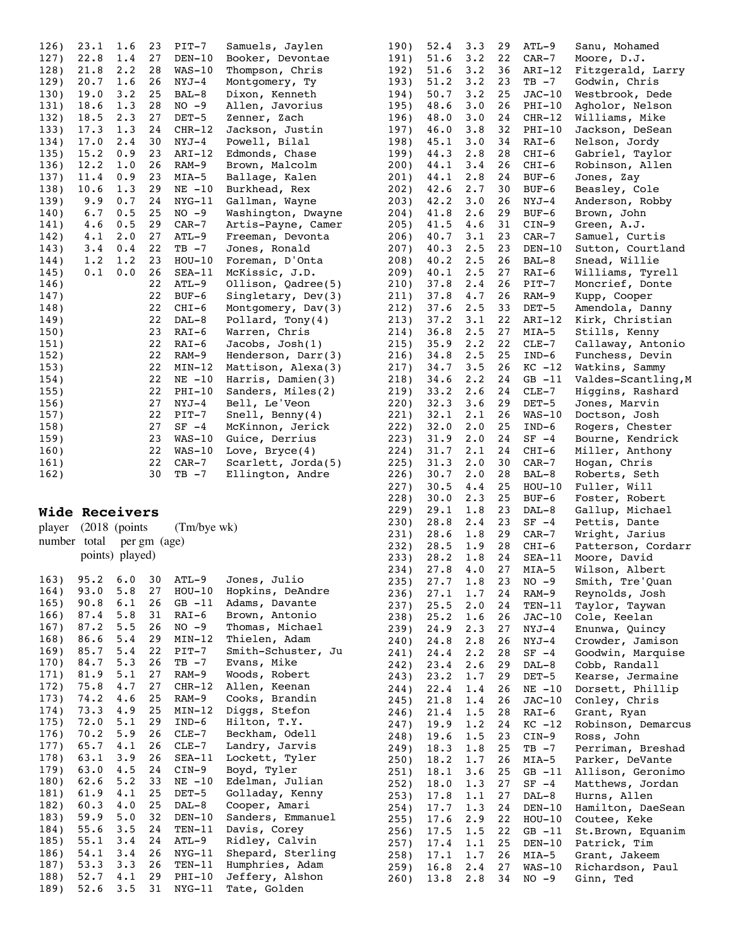| 126) | 23.1        | 1.6 | 23 | $PIT-7$    | Samuels, Jaylen      |
|------|-------------|-----|----|------------|----------------------|
| 127) | 22.8        | 1.4 | 27 | $DEN-10$   | Booker, Devontae     |
| 128) | 21.8        | 2.2 | 28 | $WAS-10$   | Thompson, Chris      |
| 129) | 20.7        | 1.6 | 26 | NYJ-4      | Montgomery, Ty       |
| 130) | 19.0        | 3.2 | 25 | $BAL-8$    | Dixon, Kenneth       |
| 131) | 18.6        | 1.3 | 28 | $NO -9$    | Allen, Javorius      |
| 132) | 18.5        | 2.3 | 27 | $DET-5$    | Zenner, Zach         |
| 133) | 17.3        | 1.3 | 24 | $CHR-12$   | Jackson, Justin      |
| 134) | 17.0        | 2.4 | 30 | $NYJ-4$    | Powell, Bilal        |
| 135) | 15.2        | 0.9 | 23 | $ART-12$   | Edmonds, Chase       |
| 136) | 12.2        | 1.0 | 26 | $RAM-9$    | Brown, Malcolm       |
| 137) | 11.4        | 0.9 | 23 | $MIA-5$    | Ballage, Kalen       |
| 138) | 10.6        | 1.3 | 29 | $NE$ $-10$ | Burkhead, Rex        |
| 139) | 9.9         | 0.7 | 24 | $NYG-11$   | Gallman, Wayne       |
| 140) | 6.7         | 0.5 | 25 | $NO -9$    | Washington, Dwayne   |
| 141) | 4.6         | 0.5 | 29 | $CAR-7$    | Artis-Payne, Camer   |
| 142) | $4 \cdot 1$ | 2.0 | 27 | ATL-9      | Freeman, Devonta     |
| 143) | $3 \cdot 4$ | 0.4 | 22 | TB -7      | Jones, Ronald        |
| 144) | 1.2         | 1.2 | 23 | $HOU-10$   | Foreman, D'Onta      |
| 145) | 0.1         | 0.0 | 26 | $SEA-11$   | McKissic, J.D.       |
| 146) |             |     | 22 | $ATL-9$    | Ollison, Qadree(5)   |
| 147) |             |     | 22 | BUF-6      | Singletary, $Dev(3)$ |
| 148) |             |     | 22 | $CHI-6$    | Montgomery, Dav(3)   |
| 149) |             |     | 22 | $DAL-8$    | Pollard, Tony $(4)$  |
| 150) |             |     | 23 | $RAI-6$    | Warren, Chris        |
| 151) |             |     | 22 | $RAI-6$    | Jacobs, Josh(1)      |
| 152) |             |     | 22 | RAM-9      | Henderson, Darr(3)   |
| 153) |             |     | 22 | $MIN-12$   | Mattison, Alexa(3)   |
| 154) |             |     | 22 | $NE -10$   | Harris, Damien(3)    |
| 155) |             |     | 22 | $PHI-10$   | Sanders, Miles(2)    |
| 156) |             |     | 27 | $NYJ-4$    | Bell, Le'Veon        |
| 157) |             |     | 22 | $PIT-7$    | Snell, Benny $(4)$   |
| 158) |             |     | 27 | $SF -4$    | McKinnon, Jerick     |
| 159) |             |     | 23 | $WAS-10$   | Guice, Derrius       |
| 160) |             |     | 22 | $WAS-10$   | Love, $Bryce(4)$     |
| 161) |             |     | 22 | $CAR-7$    | Scarlett, Jorda(5)   |
| 162) |             |     | 30 | $TB - 7$   | Ellington, Andre     |
|      |             |     |    |            |                      |

## **Wide Receivers**

|  | <b>Wide Receivers</b>     |                                  |  |
|--|---------------------------|----------------------------------|--|
|  |                           | player (2018 (points (Tm/bye wk) |  |
|  | number total per gm (age) |                                  |  |
|  | points) played)           |                                  |  |

| 163) | 95.2       | 6.0            | 30 | ATL-9    | Jones, Julio       |
|------|------------|----------------|----|----------|--------------------|
| 164) | 93.0       | 5.8            | 27 | $HOU-10$ | Hopkins, DeAndre   |
| 165) | 90.8       | 6.1            | 26 | $GB -11$ | Adams, Davante     |
| 166) | 87.4       | 5.8            | 31 | RAI-6    | Brown, Antonio     |
| 167) | 87.2       | 5.5            | 26 | $NO -9$  | Thomas, Michael    |
| 168) | $86.6$ 5.4 |                | 29 | MIN-12   | Thielen, Adam      |
| 169) | 85.7       | 5.4            | 22 | $PIT-7$  | Smith-Schuster, Ju |
| 170) | 84.7       | 5.3            | 26 | TB -7    | Evans, Mike        |
| 171) | 81.9       | 5.1            | 27 | RAM-9    | Woods, Robert      |
| 172) | 75.8       | 4.7            | 27 | CHR-12   | Allen, Keenan      |
|      | 173) 74.2  | 4.6            | 25 | RAM-9    | Cooks, Brandin     |
| 174) | 73.3       | 4.9            | 25 | MIN-12   | Diggs, Stefon      |
| 175) | 72.0       | 5.1            | 29 | IND-6    | Hilton, T.Y.       |
| 176) | $70.2$ 5.9 |                | 26 | CLE-7    | Beckham, Odell     |
| 177) | 65.7       | $4 \cdot 1$    | 26 | $CLE-7$  | Landry, Jarvis     |
| 178) | 63.1       | 3.9            | 26 | $SEA-11$ | Lockett, Tyler     |
| 179) | 63.0       | 4.5            | 24 | CIN-9    | Boyd, Tyler        |
| 180) | 62.6       | $5.2 \quad 33$ |    | $NE -10$ | Edelman, Julian    |
| 181) | 61.9       | $4 \cdot 1$    | 25 | DET-5    | Golladay, Kenny    |
| 182) | 60.3       | $4 \cdot 0$    | 25 | DAL-8    | Cooper, Amari      |
| 183) | 59.9       | 5.0            | 32 | $DEN-10$ | Sanders, Emmanuel  |
| 184) | 55.6       | 3.5            | 24 | TEN-11   | Davis, Corey       |
| 185) | 55.1       | 3.4            | 24 | ATL-9    | Ridley, Calvin     |
| 186) | 54.1       | $3 \cdot 4$    | 26 | NYG-11   | Shepard, Sterling  |
| 187) | 53.3       | 3.3            | 26 | TEN-11   | Humphries, Adam    |
| 188) | 52.7       | $4 \cdot 1$    | 29 | PHI-10   | Jeffery, Alshon    |
| 189) | 52.6       | 3.5            | 31 | NYG-11   | Tate, Golden       |
|      |            |                |    |          |                    |

| 190)            | 52.4             | 3.3             | 29       | ATL-9                    | Sanu, Mohamed                    |
|-----------------|------------------|-----------------|----------|--------------------------|----------------------------------|
| 191)            | 51.6             | 3.2             | 22       | $CAR-7$                  | Moore, D.J.                      |
| 192)            | 51.6             | 3.2             | 36       | $ART-12$                 | Fitzgerald, Larry                |
| 193)            | 51.2             | 3.2             | 23       | $TB - 7$                 | Godwin, Chris                    |
| 194)            | $50.7 \quad 3.2$ |                 | 25       | $JAC-10$                 | Westbrook, Dede                  |
| 195)            | 48.6             | 3.0             | 26       | PHI-10                   | Agholor, Nelson                  |
| 196)            | 48.0             | 3.0             | 24       | $CHR-12$                 | Williams, Mike                   |
| 197)            | 46.0             | 3.8             | 32       | $PHI-10$                 | Jackson, DeSean                  |
| 198)            | 45.1             | 3.0             | 34       | $RAI-6$                  | Nelson, Jordy                    |
| 199)            | 44.3             | 2.8             | 28       | CHI-6                    | Gabriel, Taylor                  |
| 200)            | 44.1             | 3.4<br>2.8      | 26<br>24 | CHI-6                    | Robinson, Allen                  |
| 201)<br>202)    | 44.1<br>42.6     | 2.7             | 30       | BUF-6<br>BUF-6           | Jones, Zay<br>Beasley, Cole      |
| 203)            | 42.2             | 3.0             | 26       | NYJ-4                    | Anderson, Robby                  |
| 204)            | 41.8             | 2.6             | 29       | BUF-6                    | Brown, John                      |
| 205)            | 41.5             | 4.6             | 31       | $CIN-9$                  | Green, A.J.                      |
| 206)            | 40.7             | 3.1             | 23       | CAR-7                    | Samuel, Curtis                   |
| 207)            | 40.3             | 2.5             | 23       | $DEN-10$                 | Sutton, Courtland                |
| 208)            | 40.2             | 2.5             | 26       | BAL-8                    | Snead, Willie                    |
| 209)            | 40.1             | 2.5             | 27       | RAI-6                    | Williams, Tyrell                 |
| 210)            | 37.8             | $2 \cdot 4$     | 26       | $PIT-7$                  | Moncrief, Donte                  |
| 211)            | 37.8             | 4.7             | 26       | $RAM-9$                  | Kupp, Cooper                     |
| 212)            | 37.6             | 2.5             | 33       | DET-5                    | Amendola, Danny                  |
| 213)            | 37.2             | 3.1             | 22       | $ART-12$                 | Kirk, Christian                  |
| 214)            | 36.8             | 2.5             | 27       | $MIA-5$                  | Stills, Kenny                    |
| 215)            | 35.9             | $2 \cdot 2$     | 22       | $CLE-7$                  | Callaway, Antonio                |
| 216)            | 34.8             | 2.5             | 25       | $IND-6$                  | Funchess, Devin                  |
| 217)            | 34.7             | 3.5             | 26       | $KC -12$                 | Watkins, Sammy                   |
| 218)            | 34.6             | 2.2             | 24       | $GB -11$                 | Valdes-Scantling, M              |
| 219)            | 33.2             | 2.6             | 24       | $CLE-7$                  | Higgins, Rashard                 |
| 220)            | 32.3             | 3.6             | 29       | $DEF-5$                  | Jones, Marvin                    |
| 221)<br>222)    | 32.1<br>32.0     | 2.1<br>2.0      | 26<br>25 | WAS-10<br>$IND-6$        | Doctson, Josh<br>Rogers, Chester |
| 223)            | 31.9             | 2.0             | 24       | $SF -4$                  | Bourne, Kendrick                 |
| 224)            | 31.7             | 2.1             | 24       | CHI-6                    | Miller, Anthony                  |
| 225)            | 31.3             | 2.0             | 30       | $CAR-7$                  | Hogan, Chris                     |
| 226)            | 30.7             | 2.0             | 28       | BAL-8                    | Roberts, Seth                    |
| 227)            | 30.5             | 4.4             | 25       | $HOU-10$                 | Fuller, Will                     |
| 228)            | 30.0             | 2.3             | 25       | BUF-6                    | Foster, Robert                   |
| 229)            | 29.1             | 1.8             | 23       | DAL-8                    | Gallup,<br>Michael               |
| 230)            | 28.8             | 2.4             | 23       | $SF -4$                  | Pettis, Dante                    |
| 231)            | 28.6             | 1.8             | 29       | $CAR-7$                  | Wright,<br>Jarius                |
| 232)<br>233)    | 28.5             | 1.9             | 28       | $CHI-6$                  | Patterson, Cordarr               |
| 234)            | 28.2<br>27.8     | $4.0$ 27        |          | 1.8 24 SEA-11<br>$MIA-5$ | Moore, David<br>Wilson, Albert   |
| 235)            | 27.7             | 1.8             | 23       | NO -9                    | Smith, Tre'Quan                  |
| 236)            | 27.1             | 1.7             | 24       | RAM-9                    | Reynolds, Josh                   |
| 237)            | 25.5             | 2.0             | 24       | $TEN-11$                 | Taylor, Taywan                   |
| 238)            | 25.2             | 1.6             | 26       | $JAC-10$                 | Cole, Keelan                     |
| 239)            | 24.9             | 2.3             | 27       | NYJ-4                    | Enunwa, Quincy                   |
| 240)            | 24.8             | 2.8             | 26       | NYJ-4                    | Crowder, Jamison                 |
| 241)            | 24.4             | 2.2             | 28       | $SF -4$                  | Goodwin, Marquise                |
| 242)            | 23.4             | 2.6             | 29       | $DAL-8$                  | Cobb, Randall                    |
| 243)            | 23.2             | 1.7             | 29       | DET-5                    | Kearse, Jermaine                 |
| 244)            | 22.4             | $1\centerdot 4$ | 26       | NE -10                   | Dorsett, Phillip                 |
| 245)            | 21.8             | 1.4             | 26       | $JAC-10$                 | Conley, Chris                    |
| 246)<br>247)    |                  |                 |          |                          |                                  |
|                 | 21.4             | 1.5             | 28       | RAI-6                    | Grant, Ryan                      |
|                 | 19.9             | 1.2             | 24       | $KC -12$                 | Robinson, Demarcus               |
| 248)            | 19.6             | 1.5             | 23       | $CIN-9$                  | Ross, John                       |
| 249)            | 18.3             | 1.8             | 25       | $TB - 7$                 | Perriman, Breshad                |
| 250)            | 18.2             | 1.7             | 26       | $MIA-5$                  | Parker, DeVante                  |
| 251)<br>252)    | 18.1<br>18.0     | 3.6             | 25<br>27 | $GB -11$<br>$SF -4$      | Allison, Geronimo                |
| 253)            | 17.8             | 1.3<br>1.1      | 27       | DAL-8                    | Matthews, Jordan<br>Hurns, Allen |
| 254)            | 17.7             | 1.3             | 24       | DEN-10                   | Hamilton, DaeSean                |
| 255)            | 17.6             | 2.9             | 22       | $HOU-10$                 | Coutee, Keke                     |
| 256)            | 17.5             | 1.5             | 22       | $GB -11$                 | St.Brown, Equanim                |
| 257)            | 17.4             | 1.1             | 25       | $DEN-10$                 | Patrick, Tim                     |
| 258)            | 17.1             | 1.7             | 26       | MIA-5                    | Grant, Jakeem                    |
| $259$ )<br>260) | 16.8<br>13.8     | 2.4<br>2.8      | 27<br>34 | $WAS-10$<br>$NO - 9$     | Richardson, Paul<br>Ginn, Ted    |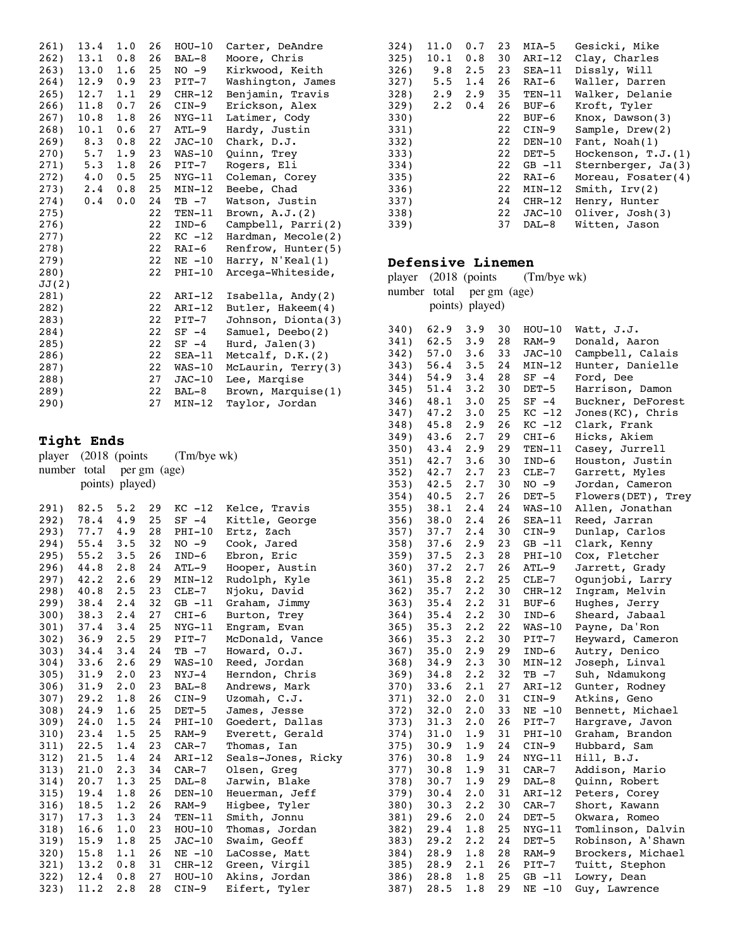| 261)  | 13.4 | 1.0 | 26 | $HOU-10$ | Carter, DeAndre    |
|-------|------|-----|----|----------|--------------------|
| 262)  | 13.1 | 0.8 | 26 | $BAL-8$  | Moore, Chris       |
| 263)  | 13.0 | 1.6 | 25 | $NO -9$  | Kirkwood, Keith    |
| 264)  | 12.9 | 0.9 | 23 | $PIT-7$  | Washington, James  |
| 265)  | 12.7 | 1.1 | 29 | $CHR-12$ | Benjamin, Travis   |
| 266)  | 11.8 | 0.7 | 26 | $CIN-9$  | Erickson, Alex     |
| 267)  | 10.8 | 1.8 | 26 | $NYG-11$ | Latimer, Cody      |
| 268)  | 10.1 | 0.6 | 27 | ATL-9    | Hardy, Justin      |
| 269)  | 8.3  | 0.8 | 22 | $JAC-10$ | Chark, D.J.        |
| 270)  | 5.7  | 1.9 | 23 | $WAS-10$ | Quinn, Trey        |
| 271)  | 5.3  | 1.8 | 26 | PIT-7    | Rogers, Eli        |
| 272)  | 4.0  | 0.5 | 25 | NYG-11   | Coleman, Corey     |
| 273)  | 2.4  | 0.8 | 25 | $MIN-12$ | Beebe, Chad        |
| 274)  | 0.4  | 0.0 | 24 | $TB -7$  | Watson, Justin     |
| 275)  |      |     | 22 | $TEN-11$ | Brown, $A.J.(2)$   |
| 276)  |      |     | 22 | $IND-6$  | Campbell, Parri(2) |
| 277)  |      |     | 22 | $KC -12$ | Hardman, Mecole(2) |
| 278)  |      |     | 22 | RAI-6    | Renfrow, Hunter(5) |
| 279)  |      |     | 22 | $NE -10$ | Harry, N'Keal(1)   |
| 280)  |      |     | 22 | $PHI-10$ | Arcega-Whiteside,  |
| JJ(2) |      |     |    |          |                    |
| 281)  |      |     | 22 | ARI-12   | Isabella, Andy(2)  |
| 282)  |      |     | 22 | $ART-12$ | Butler, Hakeem(4)  |
| 283)  |      |     | 22 | PIT-7    | Johnson, Dionta(3) |
| 284)  |      |     | 22 | $SF -4$  | Samuel, Deebo(2)   |
| 285)  |      |     | 22 | $SF -4$  | Hurd, $Jalen(3)$   |
| 286)  |      |     | 22 | $SEA-11$ | Metcalf, $D.K.(2)$ |
| 287)  |      |     | 22 | $WAS-10$ | McLaurin, Terry(3) |
| 288)  |      |     | 27 | $JAC-10$ | Lee, Marqise       |
| 289)  |      |     | 22 | BAL-8    | Brown, Marquise(1) |
| 290)  |      |     | 27 | $MIN-12$ | Taylor, Jordan     |

# **Tight Ends**

|  |                           | player (2018 (points (Tm/bye wk) |
|--|---------------------------|----------------------------------|
|  | number total per gm (age) |                                  |
|  | points) played)           |                                  |

| 291) | 82.5                 | 5.2      | 29 | $KC -12$ | Kelce, Travis      |
|------|----------------------|----------|----|----------|--------------------|
| 292) | 78.4 4.9             |          | 25 | $SF -4$  | Kittle, George     |
| 293) | 77.7 4.9             |          | 28 | $PHI-10$ | Ertz, Zach         |
|      | 294) 55.4 3.5 32     |          |    | $NO -9$  | Cook, Jared        |
| 295) | $55.2$ $3.5$         |          | 26 | IND-6    | Ebron, Eric        |
|      | 296) 44.8 2.8        |          | 24 | ATL-9    | Hooper, Austin     |
| 297) | $42.2$ 2.6           |          | 29 | MIN-12   | Rudolph, Kyle      |
| 298) | $40.8$ 2.5           |          | 23 | $CLE-7$  | Njoku, David       |
| 299) | $38.4$ 2.4           |          | 32 | $GB -11$ | Graham, Jimmy      |
|      | $300$ ) $38.3$ $2.4$ |          | 27 | $CHI-6$  | Burton, Trey       |
|      | 301) 37.4 3.4 25     |          |    | NYG-11   | Engram, Evan       |
| 302) | $36.9$ $2.5$ 29      |          |    | $PIT-7$  | McDonald, Vance    |
| 303) | $34.4$ 3.4           |          | 24 | $TB -7$  | Howard, O.J.       |
|      | $304$ ) $33.6$ 2.6   |          | 29 | WAS-10   | Reed, Jordan       |
| 305) | $31.9$ 2.0           |          | 23 | NYJ-4    | Herndon, Chris     |
| 306) | 31.9 2.0             |          | 23 | $BAL-8$  | Andrews, Mark      |
|      | 307) 29.2 1.8        |          | 26 | $CIN-9$  | Uzomah, C.J.       |
|      | 308) 24.9            | $1.6$ 25 |    | DET-5    | James, Jesse       |
|      | 309) 24.0            | $1.5$ 24 |    | $PHI-10$ | Goedert, Dallas    |
| 310) | 23.4                 | $1.5$ 25 |    | RAM-9    | Everett, Gerald    |
|      | 311) 22.5            | 1.4      | 23 | CAR-7    | Thomas, Ian        |
|      | 312) 21.5            | $1.4$ 24 |    | ARI-12   | Seals-Jones, Ricky |
| 313) | 21.0 2.3 34          |          |    | CAR-7    | Olsen, Greg        |
|      | 314) 20.7            | $1.3$ 25 |    | DAL-8    | Jarwin, Blake      |
|      | $315$ ) $19.4$       | 1.8      | 26 | DEN-10   | Heuerman, Jeff     |
| 316) | 18.5                 | 1.2      | 26 | RAM-9    | Higbee, Tyler      |
| 317) | 17.3                 | 1.3      | 24 | TEN-11   | Smith, Jonnu       |
| 318) | 16.6                 | 1.0      | 23 | $HOU-10$ | Thomas, Jordan     |
| 319) | 15.9                 | $1.8$ 25 |    | JAC-10   | Swaim, Geoff       |
| 320) | 15.8                 | 1.1      | 26 | NE -10   | LaCosse, Matt      |
|      | 321) 13.2 0.8 31     |          |    | $CHR-12$ | Green, Virgil      |
|      | 322) 12.4 0.8 27     |          |    | $HOU-10$ | Akins, Jordan      |
| 323) | 11.2                 | 2.8      | 28 | $CIN-9$  | Eifert, Tyler      |

| 324) | 11.0        | 0.7 | 23 | MIA-5    | Gesicki, Mike        |
|------|-------------|-----|----|----------|----------------------|
| 325) | 10.1        | 0.8 | 30 | ARI-12   | Clay, Charles        |
| 326) | 9.8         | 2.5 | 23 | $SEA-11$ | Dissly, Will         |
| 327) | 5.5         | 1.4 | 26 | RAI-6    | Waller, Darren       |
| 328) | 2.9         | 2.9 | 35 | $TEN-11$ | Walker, Delanie      |
| 329  | $2 \cdot 2$ | 0.4 | 26 | BUF-6    | Kroft, Tyler         |
| 330) |             |     | 22 | BUF-6    | $Know,$ Dawson(3)    |
| 331) |             |     | 22 | $CIN-9$  | Sample, $Drew(2)$    |
| 332) |             |     | 22 | $DEN-10$ | Fant, $Noah(1)$      |
| 333) |             |     | 22 | DET-5    | Hockenson, $T.J.(1)$ |
| 334) |             |     | 22 | $GB -11$ | Sternberger, Ja(3)   |
| 335) |             |     | 22 | RAI-6    | Moreau, Fosater(4)   |
| 336) |             |     | 22 | $MIN-12$ | Smith, $Irv(2)$      |
| 337) |             |     | 24 | $CHR-12$ | Henry, Hunter        |
| 338) |             |     | 22 | $JAC-10$ | Oliver, Josh(3)      |
| 339) |             |     | 37 | DAL-8    | Witten, Jason        |

### **Defensive Linemen**

|      | nerensiye rinemen         |                 |    |             |                    |
|------|---------------------------|-----------------|----|-------------|--------------------|
|      | player (2018 (points      |                 |    | (Tm/bye wk) |                    |
|      | number total per gm (age) |                 |    |             |                    |
|      |                           |                 |    |             |                    |
|      |                           | points) played) |    |             |                    |
|      |                           |                 |    |             |                    |
| 340) | 62.9                      | 3.9             | 30 | $HOU-10$    | Watt, J.J.         |
| 341) | 62.5                      | 3.9             | 28 | RAM-9       | Donald, Aaron      |
| 342) | 57.0                      | 3.6             | 33 | $JAC-10$    | Campbell, Calais   |
| 343) | 56.4                      | 3.5             | 24 | MIN-12      | Hunter, Danielle   |
| 344) | 54.9                      | 3.4             | 28 | $SF -4$     | Ford, Dee          |
| 345) | 51.4                      | 3.2             | 30 | $DET-5$     | Harrison, Damon    |
| 346) | 48.1                      | 3.0             | 25 | $SF -4$     | Buckner, DeForest  |
| 347) | 47.2                      | 3.0             | 25 | $KC -12$    | Jones (KC), Chris  |
| 348) | 45.8                      | 2.9             | 26 | $KC -12$    | Clark, Frank       |
| 349) | 43.6                      | 2.7             | 29 | $CHI-6$     | Hicks, Akiem       |
| 350) | 43.4                      | 2.9             | 29 | TEN-11      | Casey, Jurrell     |
| 351) | 42.7                      | 3.6             | 30 | $IND-6$     | Houston, Justin    |
| 352) | 42.7                      | 2.7             | 23 | $CLE-7$     | Garrett, Myles     |
| 353) | 42.5                      | 2.7             | 30 | $NO - 9$    | Jordan, Cameron    |
| 354) | 40.5                      | 2.7             | 26 | DET-5       | Flowers(DET), Trey |
| 355) | 38.1                      | 2.4             | 24 | $WAS-10$    | Allen, Jonathan    |
| 356) | 38.0                      | 2.4             | 26 | SEA-11      | Reed, Jarran       |
| 357) | 37.7                      | 2.4             | 30 | $CIN-9$     | Dunlap, Carlos     |
| 358) | 37.6                      | 2.9             | 23 | $GB -11$    | Clark, Kenny       |
| 359) | 37.5                      | 2.3             | 28 | $PHI-10$    | Cox, Fletcher      |
| 360) | 37.2                      | 2.7             | 26 | $ATL-9$     | Jarrett, Grady     |
| 361) | 35.8                      | 2.2             | 25 |             | Ogunjobi, Larry    |
|      |                           | 2.2             |    | $CLE-7$     |                    |
| 362) | 35.7                      |                 | 30 | $CHR-12$    | Ingram, Melvin     |
| 363) | 35.4                      | 2.2             | 31 | BUF-6       | Hughes, Jerry      |
| 364) | 35.4                      | 2.2             | 30 | IND-6       | Sheard, Jabaal     |
| 365) | 35.3                      | 2.2             | 22 | $WAS-10$    | Payne, Da'Ron      |
| 366) | 35.3                      | 2.2             | 30 | PIT-7       | Heyward, Cameron   |
| 367) | 35.0                      | 2.9             | 29 | IND-6       | Autry, Denico      |
| 368) | 34.9                      | 2.3             | 30 | MIN-12      | Joseph, Linval     |
| 369) | 34.8                      | 2.2             | 32 | $TB - 7$    | Suh, Ndamukong     |
| 370) | 33.6                      | 2.1             | 27 | ARI-12      | Gunter, Rodney     |
| 371) | 32.0                      | 2.0             | 31 | $CIN-9$     | Atkins, Geno       |
| 372) | 32.0                      | 2.0             | 33 | $NE - 10$   | Bennett, Michael   |
| 373) | 31.3                      | 2.0             | 26 | $PIT-7$     | Hargrave, Javon    |
| 374) | 31.0                      | 1.9             | 31 | $PHI-10$    | Graham, Brandon    |
| 375) | 30.9                      | 1.9             | 24 | $CIN-9$     | Hubbard, Sam       |
| 376) | 30.8                      | 1.9             | 24 | NYG-11      | Hill, B.J.         |
| 377) | 30.8                      | 1.9             | 31 | $CAR-7$     | Addison, Mario     |
| 378) | 30.7                      | 1.9             | 29 | DAL-8       | Quinn, Robert      |
| 379) | 30.4                      | 2.0             | 31 | ARI-12      | Peters, Corey      |
| 380) | 30.3                      | 2.2             | 30 | $CAR-7$     | Short, Kawann      |
| 381) | 29.6                      | 2.0             | 24 | $DEF-5$     | Okwara, Romeo      |
| 382) | 29.4                      | 1.8             | 25 | $NYG-11$    | Tomlinson, Dalvin  |
| 383) | 29.2                      | 2.2             | 24 | DET-5       | Robinson, A'Shawn  |
| 384) | 28.9                      | $1\centerdot 8$ | 28 | RAM-9       | Brockers, Michael  |
| 385) | 28.9                      | 2.1             | 26 | $PIT-7$     | Tuitt, Stephon     |
| 386) | 28.8                      | 1.8             | 25 | $GB -11$    | Lowry, Dean        |
| 387) | 28.5                      | 1.8             | 29 | $NE - 10$   | Guy, Lawrence      |
|      |                           |                 |    |             |                    |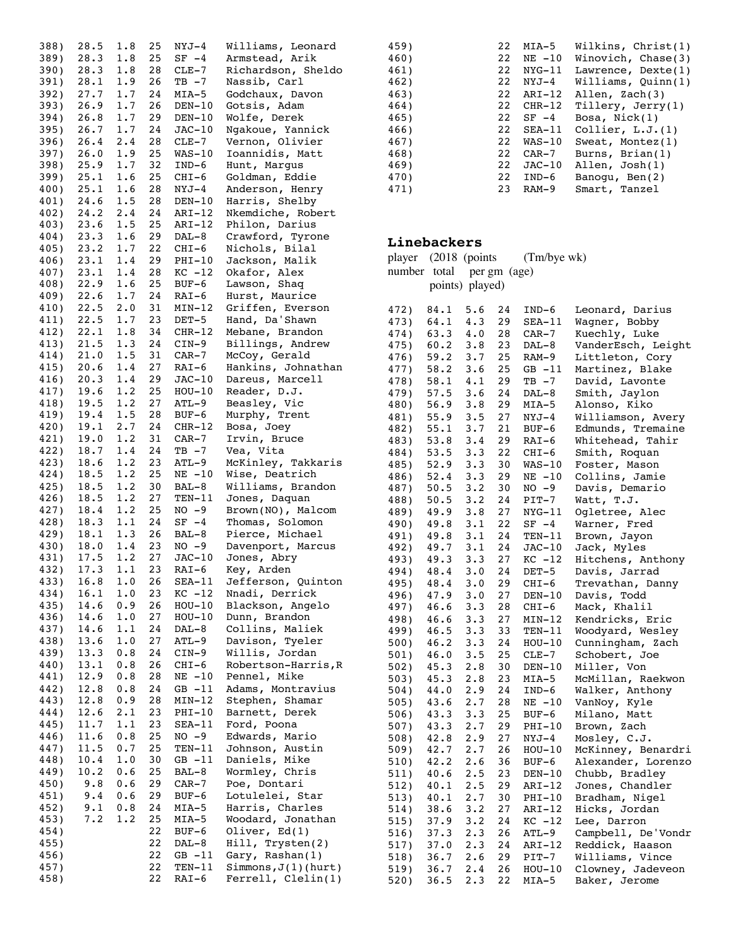| 388) | 28.5       | 1.8                                                           | 25   | NYJ-4    | Williams, Leonard      |
|------|------------|---------------------------------------------------------------|------|----------|------------------------|
| 389) | 28.3 1.8   |                                                               | 25   | $SF -4$  | Armstead, Arik         |
|      |            |                                                               |      |          |                        |
| 390) | 28.3       | 1.8                                                           | 28   | $CLE-7$  | Richardson, Sheldo     |
| 391) | 28.1       | 1.9                                                           | 26   | $TB -7$  | Nassib, Carl           |
| 392) | 27.7       | 1.7                                                           | 24   | MIA-5    | Godchaux, Davon        |
| 393) | 26.9       | 1.7                                                           | 26   | $DEN-10$ | Gotsis, Adam           |
| 394) | 26.8       | 1.7                                                           | 29   | DEN-10   | Wolfe, Derek           |
|      | 26.7       | 1.7                                                           | 24   |          |                        |
| 395) |            |                                                               |      | $JAC-10$ | Ngakoue, Yannick       |
| 396) | 26.4       | 2.4                                                           | 28   | $CLE-7$  | Vernon, Olivier        |
| 397) | 26.0       | 1.9                                                           | 25   | $WAS-10$ | Ioannidis, Matt        |
| 398) | 25.9       | 1.7                                                           | 32   | $IND-6$  | Hunt, Margus           |
| 399) | 25.1       | 1.6                                                           | 25   | CHI-6    | Goldman, Eddie         |
|      |            |                                                               |      |          |                        |
| 400) | 25.1       | 1.6                                                           | 28   | NYJ-4    | Anderson, Henry        |
| 401) | 24.6       | 1.5                                                           | 28   | $DEN-10$ | Harris, Shelby         |
| 402) | 24.2       | 2.4                                                           | 24   | ARI-12   | Nkemdiche, Robert      |
| 403) | 23.6       | 1.5                                                           | 25   | ARI-12   | Philon, Darius         |
| 404) | $23.3$ 1.6 |                                                               | 29   | DAL-8    | Crawford, Tyrone       |
|      |            |                                                               |      |          |                        |
| 405) | 23.2       | 1.7                                                           | 22   | CHI-6    | Nichols, Bilal         |
| 406) | 23.1       | 1.4                                                           | 29   | PHI-10   | Jackson, Malik         |
| 407) | 23.1       | 1.4                                                           | 28   | KC -12   | Okafor, Alex           |
| 408) | 22.9       | $\frac{1.6}{1.7}$                                             | 25   | BUF-6    | Lawson, Shaq           |
| 409) | 22.6       |                                                               | 24   | $RAI-6$  | Hurst, Maurice         |
|      |            |                                                               |      |          |                        |
| 410) | 22.5       | 2.0                                                           | 31   | MIN-12   | Griffen, Everson       |
| 411) | 22.5       |                                                               | 23   | $DEF-5$  | Hand, Da'Shawn         |
| 412) | 22.1       | $\begin{array}{c} 1\centerdot 7\cr 1\centerdot 8 \end{array}$ | 34   | $CHR-12$ | Mebane, Brandon        |
| 413) | 21.5       | 1.3                                                           | 24   | $CIN-9$  | Billings, Andrew       |
| 414) | 21.0       | 1.5                                                           | 31   | $CAR-7$  | McCoy, Gerald          |
|      | $20.6$ 1.4 |                                                               | 27   |          |                        |
| 415) |            |                                                               |      | RAI-6    | Hankins, Johnathan     |
| 416) | 20.3       | 1.4                                                           | 29   | $JAC-10$ | Dareus, Marcell        |
| 417) | 19.6       | 1.2                                                           | 25   | $HOU-10$ | Reader, D.J.           |
| 418) | 19.5       | 1.2                                                           | 27   | ATL-9    | Beasley, Vic           |
| 419) | 19.4       | 1.5                                                           | 28   | BUF-6    | Murphy, Trent          |
|      | 19.1       | 2.7                                                           | 24   |          |                        |
| 420) |            |                                                               |      | $CHR-12$ | Bosa, Joey             |
| 421) | 19.0       | 1.2                                                           | 31   | $CAR-7$  | Irvin, Bruce           |
| 422) | 18.7       | 1.4                                                           | 24   | $TB -7$  | Vea, Vita              |
| 423) | 18.6       | 1.2                                                           | 23   | ATL-9    | McKinley, Takkaris     |
| 424) | 18.5       | 1.2                                                           | 25   | $NE -10$ | Wise, Deatrich         |
|      | 18.5       | 1.2                                                           | 30   |          |                        |
| 425) |            |                                                               |      | BAL-8    | Williams, Brandon      |
| 426) | 18.5       | 1.2                                                           | 27   | TEN-11   | Jones, Daquan          |
| 427) | 18.4       | 1.2                                                           | 25   | $NO -9$  | Brown(NO), Malcom      |
| 428) | 18.3       | 1.1                                                           | 24   | $SF -4$  | Thomas, Solomon        |
| 429) | 18.1       | 1.3                                                           | 26   | $BAL-8$  | Pierce, Michael        |
|      |            | 1.4                                                           |      |          |                        |
| 430) | 18.0       |                                                               | 23   | NO -9    | Davenport, Marcus      |
| 431) | $17.5$ 1.2 |                                                               | 27   | $JAC-10$ | Jones, Abry            |
| 432) | 17.3       | 1.1                                                           | 23   | $RAI-6$  | Key, Arden             |
| 433) | 16.8       | 1.0                                                           | 26   | $SEA-11$ | Jefferson, Quinton     |
| 434) | 16.1       | 1.0                                                           | 23   | $KC -12$ | Nnadi, Derrick         |
|      | 14.6       | 0.9                                                           | 26   |          |                        |
| 435) |            |                                                               |      | $HOU-10$ | Blackson, Angelo       |
| 436) | 14.6       | 1.0                                                           | 27   | $HOU-10$ | Dunn, Brandon          |
| 437) | 14.6       | 1.1                                                           | 24   | $DAL-8$  | Collins, Maliek        |
| 438) | 13.6       | 1.0                                                           | $27$ | $ATL-9$  | Davison, Tyeler        |
| 439) | 13.3       | 0.8                                                           | 24   | $CIN-9$  | Willis, Jordan         |
| 440) | 13.1       | $\ensuremath{\mathbf{0}}$ .<br>8                              | 26   | $CHI-6$  | Robertson-Harris, R    |
|      |            |                                                               |      |          |                        |
| 441) | 12.9       | 0.8                                                           | 28   | $NE -10$ | Pennel, Mike           |
| 442) | 12.8       | 0.8                                                           | 24   | $GB -11$ | Adams, Montravius      |
| 443) | 12.8       | 0.9                                                           | 28   | MIN-12   | Stephen, Shamar        |
| 444) | 12.6       | 2.1                                                           | 23   | $PHI-10$ | Barnett, Derek         |
| 445) | 11.7       | 1.1                                                           | 23   | SEA-11   | Ford, Poona            |
|      |            |                                                               |      |          |                        |
| 446) | 11.6       | 0.8                                                           | 25   | $NO -9$  | Edwards, Mario         |
| 447) | 11.5       | 0.7                                                           | 25   | TEN-11   | Johnson, Austin        |
| 448) | 10.4       | $1\,.\,0$                                                     | 30   | $GB -11$ | Daniels,<br>Mike       |
| 449) | 10.2       | 0.6                                                           | 25   | BAL-8    | Wormley, Chris         |
| 450) | 9.8        | 0.6                                                           | 29   |          | Poe, Dontari           |
|      |            |                                                               |      | $CAR-7$  |                        |
| 451) | 9.4        | 0.6                                                           | 29   | $BUF-6$  | Lotulelei, Star        |
| 452) | 9.1        | 0.8                                                           | 24   | $MIA-5$  | Harris, Charles        |
| 453) | 7.2        | 1.2                                                           | 25   | MIA-5    | Woodard, Jonathan      |
| 454) |            |                                                               | 22   | $BUF-6$  | Oliver, $Ed(1)$        |
| 455) |            |                                                               | 22   | $DAL-8$  | Hill, Trysten(2)       |
|      |            |                                                               |      |          |                        |
| 456) |            |                                                               | 22   | $GB -11$ | Gary, Rashan(1)        |
| 457) |            |                                                               | 22   | $TEN-11$ | Simmons, $J(1)$ (hurt) |
| 458) |            |                                                               | 22   | $RAI-6$  | Ferrell, Clelin(1)     |

| 459) | 22 | MIA-5     | Wilkins, $Christ(1)$ |
|------|----|-----------|----------------------|
| 460) | 22 | $NE - 10$ | Winovich, Chase(3)   |
| 461) | 22 | $NYG-11$  | Lawrence, Dexte(1)   |
| 462) | 22 | NYJ-4     | Williams, $Quinn(1)$ |
| 463) | 22 | $ART-12$  | Allen, Zach(3)       |
| 464) | 22 | $CHR-12$  | Tillery, Jerry(1)    |
| 465) | 22 | $SF -4$   | Bosa, $Nick(1)$      |
| 466) | 22 | $SEA-11$  | Collier, $L.J.(1)$   |
| 467) | 22 | $WAS-10$  | Sweat, Montez $(1)$  |
| 468) | 22 | CAR-7     | Burns, $Brian(1)$    |
| 469) | 22 | $JAC-10$  | Allen, Josh(1)       |
| 470) | 22 | IND-6     | Banoqu, Ben $(2)$    |
| 471) | 23 | $RAM-9$   | Smart, Tanzel        |

## **Linebackers**

| <b>Linebackers</b>   |                 |              |        |                   |                                |
|----------------------|-----------------|--------------|--------|-------------------|--------------------------------|
| player (2018 (points |                 |              |        | (Tm/bye wk)       |                                |
| number total         |                 | per gm (age) |        |                   |                                |
|                      | points) played) |              |        |                   |                                |
|                      |                 |              |        |                   |                                |
| 472)                 | 84.1            | 5.6          | 24     | $IND-6$           | Leonard, Darius                |
| 473)                 | 64.1            | 4.3          | 29     | $SEA-11$          | Wagner, Bobby                  |
| 474)                 | 63.3            | 4.0          | 28     | $CAR-7$           | Kuechly, Luke                  |
| 475)                 | 60.2            | 3.8          | 23     | DAL-8             | VanderEsch, Leight             |
| 476)                 | 59.2            | 3.7          | 25     | RAM-9             | Littleton, Cory                |
| 477)                 | 58.2            | 3.6          | 25     | $GB -11$          | Martinez, Blake                |
| 478)                 | 58.1            | 4.1          | 29     | $TB - 7$          | David, Lavonte                 |
| 479)                 | 57.5            | 3.6          | 24     | DAL-8             | Smith, Jaylon                  |
| 480)                 | 56.9            | 3.8          | 29     | MIA-5             | Alonso, Kiko                   |
| 481)                 | 55.9            | 3.5          | $27\,$ | NYJ-4             | Williamson, Avery              |
| 482)                 | 55.1            | 3.7          | 21     | BUF-6             | Edmunds, Tremaine              |
| 483)                 | 53.8            | 3.4          | 29     | RAI-6             | Whitehead, Tahir               |
| 484)                 | 53.5            | 3.3          | 22     | CHI-6             | Smith, Roquan                  |
| 485)                 | 52.9            | 3.3          | 30     | WAS-10            | Foster, Mason                  |
| 486)                 | 52.4            | 3.3          | 29     | $NE$ $-10$        | Collins, Jamie                 |
| 487)                 | 50.5            | 3.2          | 30     | NO -9             | Davis, Demario                 |
| 488)                 | 50.5            | 3.2          | 24     | PIT-7             | Watt, T.J.                     |
| 489)                 | 49.9            | 3.8          | 27     | $NYG-11$          |                                |
|                      | 49.8            | 3.1          | 22     |                   | Ogletree, Alec<br>Warner, Fred |
| 490)                 | 49.8            | 3.1          | 24     | $SF -4$<br>TEN-11 | Brown, Jayon                   |
| 491)<br>492)         | 49.7            | 3.1          |        |                   |                                |
|                      |                 |              | 24     | $JAC-10$          | Jack, Myles                    |
| 493)                 | 49.3            | 3.3          | 27     | KC -12            | Hitchens, Anthony              |
| 494)                 | 48.4            | 3.0          | 24     | $DET-5$           | Davis, Jarrad                  |
| 495)                 | 48.4            | 3.0          | 29     | CHI-6             | Trevathan, Danny               |
| 496)                 | 47.9            | 3.0          | 27     | DEN-10            | Davis,<br>Todd                 |
| 497)                 | 46.6            | 3.3          | 28     | CHI-6             | Mack, Khalil                   |
| 498)                 | 46.6            | 3.3          | 27     | MIN-12            | Kendricks, Eric                |
| 499)                 | 46.5            | 3.3          | 33     | TEN-11            | Woodyard, Wesley               |
| 500)                 | 46.2            | 3.3          | 24     | $HOU-10$          | Cunningham, Zach               |
| 501)                 | 46.0            | 3.5          | 25     | CLE-7             | Schobert, Joe                  |
| 502)                 | 45.3            | 2.8          | 30     | DEN-10            | Miller, Von                    |
| 503)                 | 45.3            | 2.8          | 23     | MIA-5             | McMillan, Raekwon              |
| 504)                 | 44.0            | 2.9          | 24     | $IND-6$           | Walker, Anthony                |
| 505)                 | 43.6            | 2.7          | 28     | $NE - 10$         | VanNoy, Kyle                   |
| 506)                 | 43.3            | 3.3          | 25     | BUF-6             | Milano, Matt                   |
| 507)                 | 43.3            | 2.7          | 29     | PHI-10            | Brown, Zach                    |
| 508)                 | 42.8            | 2.9          | 27     | $NYJ-4$           | Mosley, C.J.                   |
| 509)                 | 42.7            | 2.7          | 26     | $HOU-10$          | McKinney, Benardri             |
| 510)                 | 42.2            | 2.6          | 36     | BUF-6             | Alexander, Lorenzo             |
| 511)                 | 40.6            | 2.5          | 23     | DEN-10            | Chubb, Bradley                 |
| 512)                 | 40.1            | 2.5          | 29     | ARI-12            | Jones, Chandler                |
| 513)                 | 40.1            | 2.7          | 30     | PHI-10            | Bradham,<br>Nigel              |
| 514)                 | 38.6            | 3.2          | 27     | ARI-12            | Hicks, Jordan                  |
| 515)                 | 37.9            | 3.2          | 24     | $KC -12$          | Lee, Darron                    |
| 516)                 | 37.3            | 2.3          | 26     | ATL-9             | Campbell, De'Vondr             |
| 517)                 | 37.0            | 2.3          | 24     | $ART-12$          | Reddick,<br>Haason             |
| 518)                 | 36.7            | 2.6          | 29     | PIT-7             | Williams, Vince                |
| 519)                 | 36.7            | 2.4          | 26     | $HOU-10$          | Clowney,<br>Jadeveon           |
| 520)                 | 36.5            | 2.3          | 22     | $MIA-5$           | Baker, Jerome                  |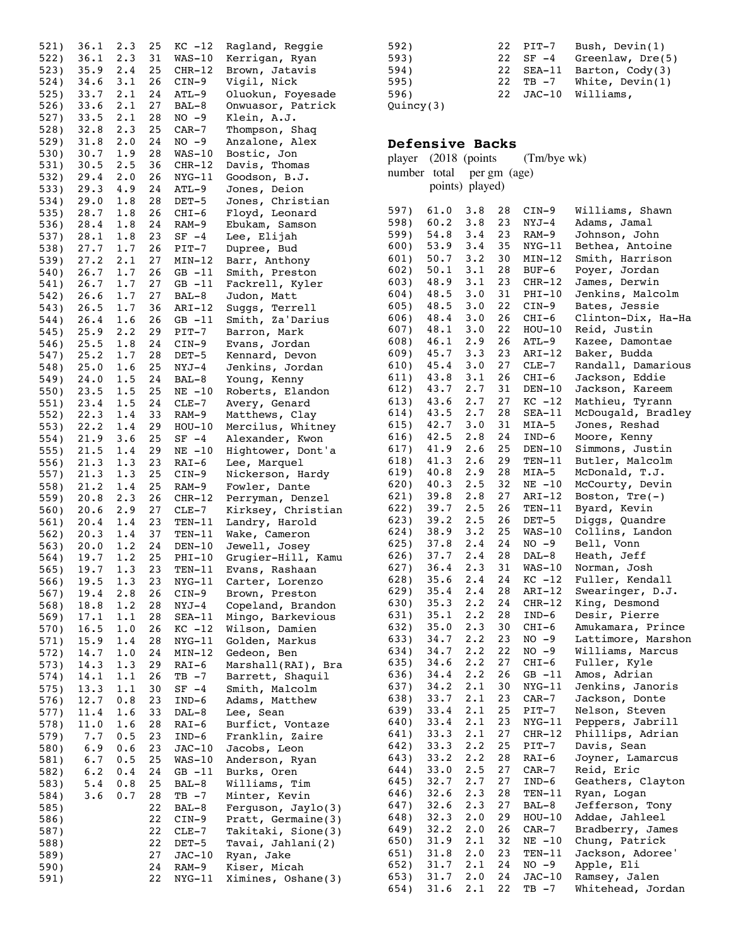| $36.1$ 2.3<br>Kerrigan, Ryan<br>522)<br>31<br>$WAS-10$<br>$35.9$ 2.4<br>25<br>523)<br>$CHR-12$<br>Brown, Jatavis<br>$34.6$ $3.1$<br>26<br>Vigil, Nick<br>524)<br>CIN-9<br>33.7 2.1<br>24<br>Oluokun, Foyesade<br>525)<br>ATL-9<br>$33.6$ $2.1$<br>27<br>Onwuasor, Patrick<br>526)<br>BAL-8<br>$33.5$ 2.1<br>28<br>527)<br>$NO -9$<br>Klein, A.J.<br>$32.8$ 2.3<br>25<br>$CAR-7$<br>528)<br>Thompson, Shaq<br>$31.8$ 2.0<br>24<br>Anzalone, Alex<br>529)<br>NO -9<br>$30.7 \quad 1.9$<br>28<br>530)<br>$WAS-10$<br>Bostic, Jon<br>$30.5$ 2.5<br>36 CHR-12<br>Davis, Thomas<br>531)<br>$29.4$ $2.0$<br>26<br>532)<br>NYG-11<br>Goodson, B.J.<br>$29.3$ 4.9<br>24<br>$ATL-9$<br>Jones, Deion<br>533)<br>$29.0$ 1.8<br>534)<br>28<br>DET-5<br>Jones, Christian<br>$28.7 \t1.8$<br>535)<br>26<br>Floyd, Leonard<br>CHI-6<br>28.4<br>1.8<br>Ebukam, Samson<br>24<br>536)<br>RAM-9<br>28.1 1.8 23<br>$SF -4$<br>Lee, Elijah<br>537)<br>27.7 1.7 26 PIT-7<br>27.2 2.1 27 MIN-12<br>538)<br>$PIT-7$<br>Dupree, Bud<br>539)<br>Barr, Anthony<br>26.7 1.7 26<br>Smith, Preston<br>540)<br>GB -11<br>$26.7$ 1.7<br>26.6 1.7<br>27 GB -11<br>Fackrell, Kyler<br>541)<br>$\frac{21}{27}$<br>Judon, Matt<br>542)<br>BAL-8<br>$26.5$ 1.7<br>36<br>Suggs, Terrell<br>543)<br>ARI-12<br>$26.4$ $1.6$<br>25.9 2.2<br>26<br>Smith, Za'Darius<br>544)<br>$GB -11$<br>29<br>$PIT-7$<br>545)<br>Barron, Mark<br>$25.5$ 1.8<br>24<br>546)<br>$CIN-9$<br>Evans, Jordan<br>1.7<br>25.2 1.7<br>25.0 1.6<br>28<br>Kennard, Devon<br>547)<br>DET-5<br>25<br>$NYJ-4$<br>Jenkins, Jordan<br>548)<br>1.5<br>24<br>549)<br>24.0<br>BAL-8<br>Young, Kenny<br>23.5<br>1.5<br>25<br>$NE -10$<br>Roberts, Elandon<br>550)<br>$23.4$ 1.5<br>24<br>551)<br>$CLE-7$<br>Avery, Genard<br>$22.3 \t1.4$<br>33<br>552)<br>RAM-9<br>Matthews, Clay<br>22.2<br>1.4<br>29<br>Mercilus, Whitney<br>553)<br>$HOU-10$<br>21.9<br>25<br>554)<br>3.6<br>$SF -4$<br>Alexander, Kwon<br>$21.5$ 1.4<br>29<br>555)<br>$NE - 10$<br>Hightower, Dont'a<br>21.3<br>1.3<br>23<br>556)<br>RAI-6<br>Lee, Marquel<br>21.3 1.3<br>25<br>557)<br>Nickerson, Hardy<br>CIN-9<br>21.2 1.4<br>25<br>Fowler, Dante<br>558)<br>RAM-9<br>$20.8$ 2.3<br>26<br>559)<br>CHR-12<br>Perryman, Denzel<br>20.6 2.9 27 CLE-7<br>Kirksey, Christian<br>560)<br>$20.4$ 1.4<br>23 TEN-11<br>Landry, Harold<br>561)<br>$20.3 \quad 1.4$<br>37<br>Wake, Cameron<br>562)<br>$TEN-11$<br>20.0 1.2 24 DEN-10<br>Jewell, Josey<br>563)<br>19.7 1.2 25 PHI-10<br>Grugier-Hill, Kamu<br>564)<br>19.7<br>1.3<br>23<br>Evans, Rashaan<br>565)<br>$TEN-11$<br>19.5<br>1.3<br>Carter, Lorenzo<br>566)<br>23<br>$NYG-11$<br>567)<br>19.4<br>2.8<br>26<br>$CIN-9$<br>Brown, Preston |
|------------------------------------------------------------------------------------------------------------------------------------------------------------------------------------------------------------------------------------------------------------------------------------------------------------------------------------------------------------------------------------------------------------------------------------------------------------------------------------------------------------------------------------------------------------------------------------------------------------------------------------------------------------------------------------------------------------------------------------------------------------------------------------------------------------------------------------------------------------------------------------------------------------------------------------------------------------------------------------------------------------------------------------------------------------------------------------------------------------------------------------------------------------------------------------------------------------------------------------------------------------------------------------------------------------------------------------------------------------------------------------------------------------------------------------------------------------------------------------------------------------------------------------------------------------------------------------------------------------------------------------------------------------------------------------------------------------------------------------------------------------------------------------------------------------------------------------------------------------------------------------------------------------------------------------------------------------------------------------------------------------------------------------------------------------------------------------------------------------------------------------------------------------------------------------------------------------------------------------------------------------------------------------------------------------------------------------------------------------------------------------------------------------------------------------------------------------------------------------------------------------------------------------------------------------------------------------------------------------------------------------------------------------------------------------|
|                                                                                                                                                                                                                                                                                                                                                                                                                                                                                                                                                                                                                                                                                                                                                                                                                                                                                                                                                                                                                                                                                                                                                                                                                                                                                                                                                                                                                                                                                                                                                                                                                                                                                                                                                                                                                                                                                                                                                                                                                                                                                                                                                                                                                                                                                                                                                                                                                                                                                                                                                                                                                                                                                    |
|                                                                                                                                                                                                                                                                                                                                                                                                                                                                                                                                                                                                                                                                                                                                                                                                                                                                                                                                                                                                                                                                                                                                                                                                                                                                                                                                                                                                                                                                                                                                                                                                                                                                                                                                                                                                                                                                                                                                                                                                                                                                                                                                                                                                                                                                                                                                                                                                                                                                                                                                                                                                                                                                                    |
|                                                                                                                                                                                                                                                                                                                                                                                                                                                                                                                                                                                                                                                                                                                                                                                                                                                                                                                                                                                                                                                                                                                                                                                                                                                                                                                                                                                                                                                                                                                                                                                                                                                                                                                                                                                                                                                                                                                                                                                                                                                                                                                                                                                                                                                                                                                                                                                                                                                                                                                                                                                                                                                                                    |
|                                                                                                                                                                                                                                                                                                                                                                                                                                                                                                                                                                                                                                                                                                                                                                                                                                                                                                                                                                                                                                                                                                                                                                                                                                                                                                                                                                                                                                                                                                                                                                                                                                                                                                                                                                                                                                                                                                                                                                                                                                                                                                                                                                                                                                                                                                                                                                                                                                                                                                                                                                                                                                                                                    |
|                                                                                                                                                                                                                                                                                                                                                                                                                                                                                                                                                                                                                                                                                                                                                                                                                                                                                                                                                                                                                                                                                                                                                                                                                                                                                                                                                                                                                                                                                                                                                                                                                                                                                                                                                                                                                                                                                                                                                                                                                                                                                                                                                                                                                                                                                                                                                                                                                                                                                                                                                                                                                                                                                    |
|                                                                                                                                                                                                                                                                                                                                                                                                                                                                                                                                                                                                                                                                                                                                                                                                                                                                                                                                                                                                                                                                                                                                                                                                                                                                                                                                                                                                                                                                                                                                                                                                                                                                                                                                                                                                                                                                                                                                                                                                                                                                                                                                                                                                                                                                                                                                                                                                                                                                                                                                                                                                                                                                                    |
|                                                                                                                                                                                                                                                                                                                                                                                                                                                                                                                                                                                                                                                                                                                                                                                                                                                                                                                                                                                                                                                                                                                                                                                                                                                                                                                                                                                                                                                                                                                                                                                                                                                                                                                                                                                                                                                                                                                                                                                                                                                                                                                                                                                                                                                                                                                                                                                                                                                                                                                                                                                                                                                                                    |
|                                                                                                                                                                                                                                                                                                                                                                                                                                                                                                                                                                                                                                                                                                                                                                                                                                                                                                                                                                                                                                                                                                                                                                                                                                                                                                                                                                                                                                                                                                                                                                                                                                                                                                                                                                                                                                                                                                                                                                                                                                                                                                                                                                                                                                                                                                                                                                                                                                                                                                                                                                                                                                                                                    |
|                                                                                                                                                                                                                                                                                                                                                                                                                                                                                                                                                                                                                                                                                                                                                                                                                                                                                                                                                                                                                                                                                                                                                                                                                                                                                                                                                                                                                                                                                                                                                                                                                                                                                                                                                                                                                                                                                                                                                                                                                                                                                                                                                                                                                                                                                                                                                                                                                                                                                                                                                                                                                                                                                    |
|                                                                                                                                                                                                                                                                                                                                                                                                                                                                                                                                                                                                                                                                                                                                                                                                                                                                                                                                                                                                                                                                                                                                                                                                                                                                                                                                                                                                                                                                                                                                                                                                                                                                                                                                                                                                                                                                                                                                                                                                                                                                                                                                                                                                                                                                                                                                                                                                                                                                                                                                                                                                                                                                                    |
|                                                                                                                                                                                                                                                                                                                                                                                                                                                                                                                                                                                                                                                                                                                                                                                                                                                                                                                                                                                                                                                                                                                                                                                                                                                                                                                                                                                                                                                                                                                                                                                                                                                                                                                                                                                                                                                                                                                                                                                                                                                                                                                                                                                                                                                                                                                                                                                                                                                                                                                                                                                                                                                                                    |
|                                                                                                                                                                                                                                                                                                                                                                                                                                                                                                                                                                                                                                                                                                                                                                                                                                                                                                                                                                                                                                                                                                                                                                                                                                                                                                                                                                                                                                                                                                                                                                                                                                                                                                                                                                                                                                                                                                                                                                                                                                                                                                                                                                                                                                                                                                                                                                                                                                                                                                                                                                                                                                                                                    |
|                                                                                                                                                                                                                                                                                                                                                                                                                                                                                                                                                                                                                                                                                                                                                                                                                                                                                                                                                                                                                                                                                                                                                                                                                                                                                                                                                                                                                                                                                                                                                                                                                                                                                                                                                                                                                                                                                                                                                                                                                                                                                                                                                                                                                                                                                                                                                                                                                                                                                                                                                                                                                                                                                    |
|                                                                                                                                                                                                                                                                                                                                                                                                                                                                                                                                                                                                                                                                                                                                                                                                                                                                                                                                                                                                                                                                                                                                                                                                                                                                                                                                                                                                                                                                                                                                                                                                                                                                                                                                                                                                                                                                                                                                                                                                                                                                                                                                                                                                                                                                                                                                                                                                                                                                                                                                                                                                                                                                                    |
|                                                                                                                                                                                                                                                                                                                                                                                                                                                                                                                                                                                                                                                                                                                                                                                                                                                                                                                                                                                                                                                                                                                                                                                                                                                                                                                                                                                                                                                                                                                                                                                                                                                                                                                                                                                                                                                                                                                                                                                                                                                                                                                                                                                                                                                                                                                                                                                                                                                                                                                                                                                                                                                                                    |
|                                                                                                                                                                                                                                                                                                                                                                                                                                                                                                                                                                                                                                                                                                                                                                                                                                                                                                                                                                                                                                                                                                                                                                                                                                                                                                                                                                                                                                                                                                                                                                                                                                                                                                                                                                                                                                                                                                                                                                                                                                                                                                                                                                                                                                                                                                                                                                                                                                                                                                                                                                                                                                                                                    |
|                                                                                                                                                                                                                                                                                                                                                                                                                                                                                                                                                                                                                                                                                                                                                                                                                                                                                                                                                                                                                                                                                                                                                                                                                                                                                                                                                                                                                                                                                                                                                                                                                                                                                                                                                                                                                                                                                                                                                                                                                                                                                                                                                                                                                                                                                                                                                                                                                                                                                                                                                                                                                                                                                    |
|                                                                                                                                                                                                                                                                                                                                                                                                                                                                                                                                                                                                                                                                                                                                                                                                                                                                                                                                                                                                                                                                                                                                                                                                                                                                                                                                                                                                                                                                                                                                                                                                                                                                                                                                                                                                                                                                                                                                                                                                                                                                                                                                                                                                                                                                                                                                                                                                                                                                                                                                                                                                                                                                                    |
|                                                                                                                                                                                                                                                                                                                                                                                                                                                                                                                                                                                                                                                                                                                                                                                                                                                                                                                                                                                                                                                                                                                                                                                                                                                                                                                                                                                                                                                                                                                                                                                                                                                                                                                                                                                                                                                                                                                                                                                                                                                                                                                                                                                                                                                                                                                                                                                                                                                                                                                                                                                                                                                                                    |
|                                                                                                                                                                                                                                                                                                                                                                                                                                                                                                                                                                                                                                                                                                                                                                                                                                                                                                                                                                                                                                                                                                                                                                                                                                                                                                                                                                                                                                                                                                                                                                                                                                                                                                                                                                                                                                                                                                                                                                                                                                                                                                                                                                                                                                                                                                                                                                                                                                                                                                                                                                                                                                                                                    |
|                                                                                                                                                                                                                                                                                                                                                                                                                                                                                                                                                                                                                                                                                                                                                                                                                                                                                                                                                                                                                                                                                                                                                                                                                                                                                                                                                                                                                                                                                                                                                                                                                                                                                                                                                                                                                                                                                                                                                                                                                                                                                                                                                                                                                                                                                                                                                                                                                                                                                                                                                                                                                                                                                    |
|                                                                                                                                                                                                                                                                                                                                                                                                                                                                                                                                                                                                                                                                                                                                                                                                                                                                                                                                                                                                                                                                                                                                                                                                                                                                                                                                                                                                                                                                                                                                                                                                                                                                                                                                                                                                                                                                                                                                                                                                                                                                                                                                                                                                                                                                                                                                                                                                                                                                                                                                                                                                                                                                                    |
|                                                                                                                                                                                                                                                                                                                                                                                                                                                                                                                                                                                                                                                                                                                                                                                                                                                                                                                                                                                                                                                                                                                                                                                                                                                                                                                                                                                                                                                                                                                                                                                                                                                                                                                                                                                                                                                                                                                                                                                                                                                                                                                                                                                                                                                                                                                                                                                                                                                                                                                                                                                                                                                                                    |
|                                                                                                                                                                                                                                                                                                                                                                                                                                                                                                                                                                                                                                                                                                                                                                                                                                                                                                                                                                                                                                                                                                                                                                                                                                                                                                                                                                                                                                                                                                                                                                                                                                                                                                                                                                                                                                                                                                                                                                                                                                                                                                                                                                                                                                                                                                                                                                                                                                                                                                                                                                                                                                                                                    |
|                                                                                                                                                                                                                                                                                                                                                                                                                                                                                                                                                                                                                                                                                                                                                                                                                                                                                                                                                                                                                                                                                                                                                                                                                                                                                                                                                                                                                                                                                                                                                                                                                                                                                                                                                                                                                                                                                                                                                                                                                                                                                                                                                                                                                                                                                                                                                                                                                                                                                                                                                                                                                                                                                    |
|                                                                                                                                                                                                                                                                                                                                                                                                                                                                                                                                                                                                                                                                                                                                                                                                                                                                                                                                                                                                                                                                                                                                                                                                                                                                                                                                                                                                                                                                                                                                                                                                                                                                                                                                                                                                                                                                                                                                                                                                                                                                                                                                                                                                                                                                                                                                                                                                                                                                                                                                                                                                                                                                                    |
|                                                                                                                                                                                                                                                                                                                                                                                                                                                                                                                                                                                                                                                                                                                                                                                                                                                                                                                                                                                                                                                                                                                                                                                                                                                                                                                                                                                                                                                                                                                                                                                                                                                                                                                                                                                                                                                                                                                                                                                                                                                                                                                                                                                                                                                                                                                                                                                                                                                                                                                                                                                                                                                                                    |
|                                                                                                                                                                                                                                                                                                                                                                                                                                                                                                                                                                                                                                                                                                                                                                                                                                                                                                                                                                                                                                                                                                                                                                                                                                                                                                                                                                                                                                                                                                                                                                                                                                                                                                                                                                                                                                                                                                                                                                                                                                                                                                                                                                                                                                                                                                                                                                                                                                                                                                                                                                                                                                                                                    |
|                                                                                                                                                                                                                                                                                                                                                                                                                                                                                                                                                                                                                                                                                                                                                                                                                                                                                                                                                                                                                                                                                                                                                                                                                                                                                                                                                                                                                                                                                                                                                                                                                                                                                                                                                                                                                                                                                                                                                                                                                                                                                                                                                                                                                                                                                                                                                                                                                                                                                                                                                                                                                                                                                    |
|                                                                                                                                                                                                                                                                                                                                                                                                                                                                                                                                                                                                                                                                                                                                                                                                                                                                                                                                                                                                                                                                                                                                                                                                                                                                                                                                                                                                                                                                                                                                                                                                                                                                                                                                                                                                                                                                                                                                                                                                                                                                                                                                                                                                                                                                                                                                                                                                                                                                                                                                                                                                                                                                                    |
|                                                                                                                                                                                                                                                                                                                                                                                                                                                                                                                                                                                                                                                                                                                                                                                                                                                                                                                                                                                                                                                                                                                                                                                                                                                                                                                                                                                                                                                                                                                                                                                                                                                                                                                                                                                                                                                                                                                                                                                                                                                                                                                                                                                                                                                                                                                                                                                                                                                                                                                                                                                                                                                                                    |
|                                                                                                                                                                                                                                                                                                                                                                                                                                                                                                                                                                                                                                                                                                                                                                                                                                                                                                                                                                                                                                                                                                                                                                                                                                                                                                                                                                                                                                                                                                                                                                                                                                                                                                                                                                                                                                                                                                                                                                                                                                                                                                                                                                                                                                                                                                                                                                                                                                                                                                                                                                                                                                                                                    |
|                                                                                                                                                                                                                                                                                                                                                                                                                                                                                                                                                                                                                                                                                                                                                                                                                                                                                                                                                                                                                                                                                                                                                                                                                                                                                                                                                                                                                                                                                                                                                                                                                                                                                                                                                                                                                                                                                                                                                                                                                                                                                                                                                                                                                                                                                                                                                                                                                                                                                                                                                                                                                                                                                    |
|                                                                                                                                                                                                                                                                                                                                                                                                                                                                                                                                                                                                                                                                                                                                                                                                                                                                                                                                                                                                                                                                                                                                                                                                                                                                                                                                                                                                                                                                                                                                                                                                                                                                                                                                                                                                                                                                                                                                                                                                                                                                                                                                                                                                                                                                                                                                                                                                                                                                                                                                                                                                                                                                                    |
|                                                                                                                                                                                                                                                                                                                                                                                                                                                                                                                                                                                                                                                                                                                                                                                                                                                                                                                                                                                                                                                                                                                                                                                                                                                                                                                                                                                                                                                                                                                                                                                                                                                                                                                                                                                                                                                                                                                                                                                                                                                                                                                                                                                                                                                                                                                                                                                                                                                                                                                                                                                                                                                                                    |
|                                                                                                                                                                                                                                                                                                                                                                                                                                                                                                                                                                                                                                                                                                                                                                                                                                                                                                                                                                                                                                                                                                                                                                                                                                                                                                                                                                                                                                                                                                                                                                                                                                                                                                                                                                                                                                                                                                                                                                                                                                                                                                                                                                                                                                                                                                                                                                                                                                                                                                                                                                                                                                                                                    |
|                                                                                                                                                                                                                                                                                                                                                                                                                                                                                                                                                                                                                                                                                                                                                                                                                                                                                                                                                                                                                                                                                                                                                                                                                                                                                                                                                                                                                                                                                                                                                                                                                                                                                                                                                                                                                                                                                                                                                                                                                                                                                                                                                                                                                                                                                                                                                                                                                                                                                                                                                                                                                                                                                    |
|                                                                                                                                                                                                                                                                                                                                                                                                                                                                                                                                                                                                                                                                                                                                                                                                                                                                                                                                                                                                                                                                                                                                                                                                                                                                                                                                                                                                                                                                                                                                                                                                                                                                                                                                                                                                                                                                                                                                                                                                                                                                                                                                                                                                                                                                                                                                                                                                                                                                                                                                                                                                                                                                                    |
|                                                                                                                                                                                                                                                                                                                                                                                                                                                                                                                                                                                                                                                                                                                                                                                                                                                                                                                                                                                                                                                                                                                                                                                                                                                                                                                                                                                                                                                                                                                                                                                                                                                                                                                                                                                                                                                                                                                                                                                                                                                                                                                                                                                                                                                                                                                                                                                                                                                                                                                                                                                                                                                                                    |
|                                                                                                                                                                                                                                                                                                                                                                                                                                                                                                                                                                                                                                                                                                                                                                                                                                                                                                                                                                                                                                                                                                                                                                                                                                                                                                                                                                                                                                                                                                                                                                                                                                                                                                                                                                                                                                                                                                                                                                                                                                                                                                                                                                                                                                                                                                                                                                                                                                                                                                                                                                                                                                                                                    |
|                                                                                                                                                                                                                                                                                                                                                                                                                                                                                                                                                                                                                                                                                                                                                                                                                                                                                                                                                                                                                                                                                                                                                                                                                                                                                                                                                                                                                                                                                                                                                                                                                                                                                                                                                                                                                                                                                                                                                                                                                                                                                                                                                                                                                                                                                                                                                                                                                                                                                                                                                                                                                                                                                    |
| 18.8<br>1.2<br>568)<br>28<br>Copeland, Brandon<br>NYJ-4                                                                                                                                                                                                                                                                                                                                                                                                                                                                                                                                                                                                                                                                                                                                                                                                                                                                                                                                                                                                                                                                                                                                                                                                                                                                                                                                                                                                                                                                                                                                                                                                                                                                                                                                                                                                                                                                                                                                                                                                                                                                                                                                                                                                                                                                                                                                                                                                                                                                                                                                                                                                                            |
| 17.1<br>1.1<br>Mingo, Barkevious<br>569)<br>28<br>SEA-11                                                                                                                                                                                                                                                                                                                                                                                                                                                                                                                                                                                                                                                                                                                                                                                                                                                                                                                                                                                                                                                                                                                                                                                                                                                                                                                                                                                                                                                                                                                                                                                                                                                                                                                                                                                                                                                                                                                                                                                                                                                                                                                                                                                                                                                                                                                                                                                                                                                                                                                                                                                                                           |
| 16.5<br>1.0<br>Wilson, Damien<br>570)<br>26<br>$KC -12$<br>15.9<br>1.4<br>571)<br>$NYG-11$<br>Golden, Markus                                                                                                                                                                                                                                                                                                                                                                                                                                                                                                                                                                                                                                                                                                                                                                                                                                                                                                                                                                                                                                                                                                                                                                                                                                                                                                                                                                                                                                                                                                                                                                                                                                                                                                                                                                                                                                                                                                                                                                                                                                                                                                                                                                                                                                                                                                                                                                                                                                                                                                                                                                       |
| 28<br>572)<br>14.7<br>1.0<br>Gedeon, Ben<br>24<br>MIN-12                                                                                                                                                                                                                                                                                                                                                                                                                                                                                                                                                                                                                                                                                                                                                                                                                                                                                                                                                                                                                                                                                                                                                                                                                                                                                                                                                                                                                                                                                                                                                                                                                                                                                                                                                                                                                                                                                                                                                                                                                                                                                                                                                                                                                                                                                                                                                                                                                                                                                                                                                                                                                           |
| 573)<br>14.3<br>1.3<br>Marshall(RAI), Bra<br>29<br>RAI-6                                                                                                                                                                                                                                                                                                                                                                                                                                                                                                                                                                                                                                                                                                                                                                                                                                                                                                                                                                                                                                                                                                                                                                                                                                                                                                                                                                                                                                                                                                                                                                                                                                                                                                                                                                                                                                                                                                                                                                                                                                                                                                                                                                                                                                                                                                                                                                                                                                                                                                                                                                                                                           |
| 574)<br>14.1<br>1.1<br>$TB -7$<br>Barrett, Shaquil<br>26                                                                                                                                                                                                                                                                                                                                                                                                                                                                                                                                                                                                                                                                                                                                                                                                                                                                                                                                                                                                                                                                                                                                                                                                                                                                                                                                                                                                                                                                                                                                                                                                                                                                                                                                                                                                                                                                                                                                                                                                                                                                                                                                                                                                                                                                                                                                                                                                                                                                                                                                                                                                                           |
| 575)<br>13.3<br>1.1<br>Smith, Malcolm<br>30<br>$SF -4$                                                                                                                                                                                                                                                                                                                                                                                                                                                                                                                                                                                                                                                                                                                                                                                                                                                                                                                                                                                                                                                                                                                                                                                                                                                                                                                                                                                                                                                                                                                                                                                                                                                                                                                                                                                                                                                                                                                                                                                                                                                                                                                                                                                                                                                                                                                                                                                                                                                                                                                                                                                                                             |
| 12.7<br>0.8<br>Adams, Matthew<br>576)<br>23<br>$IND-6$                                                                                                                                                                                                                                                                                                                                                                                                                                                                                                                                                                                                                                                                                                                                                                                                                                                                                                                                                                                                                                                                                                                                                                                                                                                                                                                                                                                                                                                                                                                                                                                                                                                                                                                                                                                                                                                                                                                                                                                                                                                                                                                                                                                                                                                                                                                                                                                                                                                                                                                                                                                                                             |
| 11.4<br>1.6<br>Lee, Sean<br>577)<br>33<br>DAL-8                                                                                                                                                                                                                                                                                                                                                                                                                                                                                                                                                                                                                                                                                                                                                                                                                                                                                                                                                                                                                                                                                                                                                                                                                                                                                                                                                                                                                                                                                                                                                                                                                                                                                                                                                                                                                                                                                                                                                                                                                                                                                                                                                                                                                                                                                                                                                                                                                                                                                                                                                                                                                                    |
| 578)<br>11.0<br>1.6<br>Burfict, Vontaze<br>28<br>RAI-6                                                                                                                                                                                                                                                                                                                                                                                                                                                                                                                                                                                                                                                                                                                                                                                                                                                                                                                                                                                                                                                                                                                                                                                                                                                                                                                                                                                                                                                                                                                                                                                                                                                                                                                                                                                                                                                                                                                                                                                                                                                                                                                                                                                                                                                                                                                                                                                                                                                                                                                                                                                                                             |
| 7.7<br>0.5<br>Franklin, Zaire<br>579)<br>23<br>$IND-6$                                                                                                                                                                                                                                                                                                                                                                                                                                                                                                                                                                                                                                                                                                                                                                                                                                                                                                                                                                                                                                                                                                                                                                                                                                                                                                                                                                                                                                                                                                                                                                                                                                                                                                                                                                                                                                                                                                                                                                                                                                                                                                                                                                                                                                                                                                                                                                                                                                                                                                                                                                                                                             |
| 6.9<br>580)<br>0.6<br>Jacobs, Leon<br>23<br>$JAC-10$<br>581)<br>6.7<br>0.5<br>25<br>$WAS-10$<br>Anderson, Ryan                                                                                                                                                                                                                                                                                                                                                                                                                                                                                                                                                                                                                                                                                                                                                                                                                                                                                                                                                                                                                                                                                                                                                                                                                                                                                                                                                                                                                                                                                                                                                                                                                                                                                                                                                                                                                                                                                                                                                                                                                                                                                                                                                                                                                                                                                                                                                                                                                                                                                                                                                                     |
| 6.2<br>0.4<br>$GB -11$<br>Burks, Oren<br>582)<br>24                                                                                                                                                                                                                                                                                                                                                                                                                                                                                                                                                                                                                                                                                                                                                                                                                                                                                                                                                                                                                                                                                                                                                                                                                                                                                                                                                                                                                                                                                                                                                                                                                                                                                                                                                                                                                                                                                                                                                                                                                                                                                                                                                                                                                                                                                                                                                                                                                                                                                                                                                                                                                                |
| 0.8<br>$BAL-8$<br>583)<br>5.4<br>25<br>Williams,<br>Tim                                                                                                                                                                                                                                                                                                                                                                                                                                                                                                                                                                                                                                                                                                                                                                                                                                                                                                                                                                                                                                                                                                                                                                                                                                                                                                                                                                                                                                                                                                                                                                                                                                                                                                                                                                                                                                                                                                                                                                                                                                                                                                                                                                                                                                                                                                                                                                                                                                                                                                                                                                                                                            |
| 3.6<br>0.7<br>Minter, Kevin<br>584)<br>28<br>$TB - 7$                                                                                                                                                                                                                                                                                                                                                                                                                                                                                                                                                                                                                                                                                                                                                                                                                                                                                                                                                                                                                                                                                                                                                                                                                                                                                                                                                                                                                                                                                                                                                                                                                                                                                                                                                                                                                                                                                                                                                                                                                                                                                                                                                                                                                                                                                                                                                                                                                                                                                                                                                                                                                              |
| Ferguson, Jaylo(3)<br>BAL-8<br>585)<br>22                                                                                                                                                                                                                                                                                                                                                                                                                                                                                                                                                                                                                                                                                                                                                                                                                                                                                                                                                                                                                                                                                                                                                                                                                                                                                                                                                                                                                                                                                                                                                                                                                                                                                                                                                                                                                                                                                                                                                                                                                                                                                                                                                                                                                                                                                                                                                                                                                                                                                                                                                                                                                                          |
|                                                                                                                                                                                                                                                                                                                                                                                                                                                                                                                                                                                                                                                                                                                                                                                                                                                                                                                                                                                                                                                                                                                                                                                                                                                                                                                                                                                                                                                                                                                                                                                                                                                                                                                                                                                                                                                                                                                                                                                                                                                                                                                                                                                                                                                                                                                                                                                                                                                                                                                                                                                                                                                                                    |
| Pratt, Germaine(3)<br>586)<br>22<br>$CIN-9$                                                                                                                                                                                                                                                                                                                                                                                                                                                                                                                                                                                                                                                                                                                                                                                                                                                                                                                                                                                                                                                                                                                                                                                                                                                                                                                                                                                                                                                                                                                                                                                                                                                                                                                                                                                                                                                                                                                                                                                                                                                                                                                                                                                                                                                                                                                                                                                                                                                                                                                                                                                                                                        |
| Takitaki, Sione(3)<br>587)<br>22<br>CLE-7                                                                                                                                                                                                                                                                                                                                                                                                                                                                                                                                                                                                                                                                                                                                                                                                                                                                                                                                                                                                                                                                                                                                                                                                                                                                                                                                                                                                                                                                                                                                                                                                                                                                                                                                                                                                                                                                                                                                                                                                                                                                                                                                                                                                                                                                                                                                                                                                                                                                                                                                                                                                                                          |
| 22<br>Tavai, Jahlani(2)<br>588)<br>DET-5                                                                                                                                                                                                                                                                                                                                                                                                                                                                                                                                                                                                                                                                                                                                                                                                                                                                                                                                                                                                                                                                                                                                                                                                                                                                                                                                                                                                                                                                                                                                                                                                                                                                                                                                                                                                                                                                                                                                                                                                                                                                                                                                                                                                                                                                                                                                                                                                                                                                                                                                                                                                                                           |
| 27<br>589)<br>$JAC-10$<br>Ryan, Jake<br>Kiser, Micah<br>590)<br>24<br>RAM-9                                                                                                                                                                                                                                                                                                                                                                                                                                                                                                                                                                                                                                                                                                                                                                                                                                                                                                                                                                                                                                                                                                                                                                                                                                                                                                                                                                                                                                                                                                                                                                                                                                                                                                                                                                                                                                                                                                                                                                                                                                                                                                                                                                                                                                                                                                                                                                                                                                                                                                                                                                                                        |

| 592)      | 22 | PIT-7   | Bush, Devin(1)     |
|-----------|----|---------|--------------------|
| 593)      | 22 | $SF -4$ | Greenlaw, $Dre(5)$ |
| 594)      | 22 | SEA-11  | Barton, Cody(3)    |
| 595)      | 22 | TB -7   | White, $Devin(1)$  |
| 596)      | 22 |         | JAC-10 Williams,   |
| Quincy(3) |    |         |                    |

#### **Defensive Backs**

|              |                           |            |          | player (2018 (points (Tm/bye wk) |                                       |
|--------------|---------------------------|------------|----------|----------------------------------|---------------------------------------|
|              | number total per gm (age) |            |          |                                  |                                       |
|              | points) played)           |            |          |                                  |                                       |
| 597)         | 61.0                      | 3.8        | 28       | $CIN-9$                          | Williams, Shawn                       |
| 598)         | 60.2                      | 3.8        | 23       | $NYJ-4$                          | Adams, Jamal                          |
| 599)         | 54.8                      | 3.4        | 23       | RAM-9                            | Johnson, John                         |
| 600)         | 53.9                      | 3.4        | 35       | NYG-11                           | Bethea, Antoine                       |
| 601)         | 50.7                      | 3.2        | 30       | MIN-12                           | Smith, Harrison                       |
| 602)         | 50.1                      | 3.1        | 28       | BUF-6                            | Poyer, Jordan                         |
| 603)         | 48.9                      | 3.1        | 23       | $CHR-12$                         | James, Derwin                         |
| 604)         | 48.5                      | 3.0        | 31       | PHI-10                           | Jenkins, Malcolm                      |
| 605)         | 48.5                      | 3.0        | 22       | $CIN-9$                          | Bates, Jessie                         |
| 606)         | 48.4                      | 3.0        | 26       | $CHI-6$                          | Clinton-Dix, Ha-Ha                    |
| 607)         | 48.1                      | 3.0        | 22       | $HOU-10$                         | Reid, Justin                          |
| 608)         | 46.1<br>45.7              | 2.9<br>3.3 | 26<br>23 | ATL-9                            | Kazee, Damontae                       |
| 609)<br>610) | 45.4                      | 3.0        | 27       | ARI-12<br>CLE-7                  | Baker, Budda<br>Randall,<br>Damarious |
| 611)         | 43.8                      | 3.1        | 26       | CHI-6                            | Jackson,<br>Eddie                     |
| 612)         | 43.7                      | 2.7        | 31       | $DEN-10$                         | Jackson, Kareem                       |
| 613)         | 43.6                      | 2.7        | 27       | $KC -12$                         | Mathieu, Tyrann                       |
| 614)         | 43.5                      | 2.7        | 28       | $SEA-11$                         | McDougald, Bradley                    |
| 615)         | 42.7                      | 3.0        | 31       | MIA-5                            | Jones, Reshad                         |
| 616)         | 42.5                      | 2.8        | 24       | IND-6                            | Moore, Kenny                          |
| 617)         | 41.9                      | 2.6        | 25       | DEN-10                           | Simmons, Justin                       |
| 618)         | 41.3                      | 2.6        | 29       | TEN-11                           | Butler, Malcolm                       |
| 619)         | 40.8                      | 2.9        | 28       | MIA-5                            | McDonald,<br>T.J.                     |
| 620)         | 40.3                      | 2.5        | 32       | $NE - 10$                        | McCourty,<br>Devin                    |
| 621)         | 39.8                      | 2.8        | 27       | ARI-12                           | Boston, $Tre(-)$                      |
| 622)         | 39.7                      | 2.5        | 26       | TEN-11                           | Byard, Kevin                          |
| 623)<br>624) | 39.2<br>38.9              | 2.5<br>3.2 | 26<br>25 | $DEF-5$<br>$WAS-10$              | Diggs, Quandre                        |
| 625)         | 37.8                      | 2.4        | 24       | NO -9                            | Collins, Landon<br>Bell, Vonn         |
| 626)         | 37.7                      | 2.4        | 28       | $DAL-8$                          | Heath, Jeff                           |
| 627)         | 36.4                      | 2.3        | 31       | $WAS-10$                         | Norman, Josh                          |
| 628)         | 35.6                      | 2.4        | 24       | $KC -12$                         | Fuller, Kendall                       |
| 629)         | 35.4                      | 2.4        | 28       | ARI-12                           | Swearinger, D.J.                      |
| 630)         | 35.3                      | 2.2        | 24       | CHR-12                           | King, Desmond                         |
| 631)         | 35.1                      | 2.2        | 28       | IND-6                            | Desir, Pierre                         |
| 632)         | 35.0                      | 2.3        | 30       | CHI-6                            | Amukamara, Prince                     |
| 633)         | 34.7                      | 2.2        | 23       | $NO - 9$                         | Lattimore, Marshon                    |
| 634)         | 34.7                      | 2.2        | 22       | $NO - 9$                         | Williams, Marcus                      |
| 635)         | 34.6                      | 2.2        | 27       | $CHI-6$                          | Fuller, Kyle                          |
| 636)         | 34.4                      | 2.2        | 26       | GB -11                           | Amos, Adrian                          |
| 637)<br>638) | 34.2<br>33.7              | 2.1<br>2.1 | 30<br>23 | $NYG-11$<br>$CAR-7$              | Janoris<br>Jenkins,<br>Jackson, Donte |
| 639)         | 33.4                      | 2.1        | 25       | PIT-7                            | Nelson, Steven                        |
| 640)         | 33.4                      | 2.1        | 23       | NYG-11                           | Peppers, Jabrill                      |
| 641)         | 33.3                      | 2.1        | 27       | $CHR-12$                         | Phillips, Adrian                      |
| 642)         | 33.3                      | 2.2        | 25       | $PIT-7$                          | Davis, Sean                           |
| 643)         | 33.2                      | 2.2        | 28       | RAI-6                            | Joyner, Lamarcus                      |
| 644)         | 33.0                      | 2.5        | 27       | CAR-7                            | Reid, Eric                            |
| 645)         | 32.7                      | 2.7        | 27       | IND-6                            | Geathers, Clayton                     |
| 646)         | 32.6                      | 2.3        | 28       | $TEN-11$                         | Ryan, Logan                           |
| 647)         | 32.6                      | 2.3        | 27       | $BAL-8$                          | Jefferson, Tony                       |
| 648)         | 32.3                      | 2.0        | 29       | $HOU-10$                         | Addae, Jahleel                        |
| 649)         | 32.2                      | 2.0        | 26       | CAR-7                            | Bradberry, James                      |
| 650)         | 31.9<br>31.8              | 2.1<br>2.0 | 32       | $NE - 10$                        | Chung, Patrick                        |
| 651)<br>652) | 31.7                      | 2.1        | 23<br>24 | TEN-11<br>NO -9                  | Jackson, Adoree'<br>Apple, Eli        |
| 653)         | 31.7                      | 2.0        | 24       | $JAC-10$                         | Ramsey, Jalen                         |
| 654)         | 31.6                      | 2.1        | 22       | TB -7                            | Whitehead, Jordan                     |
|              |                           |            |          |                                  |                                       |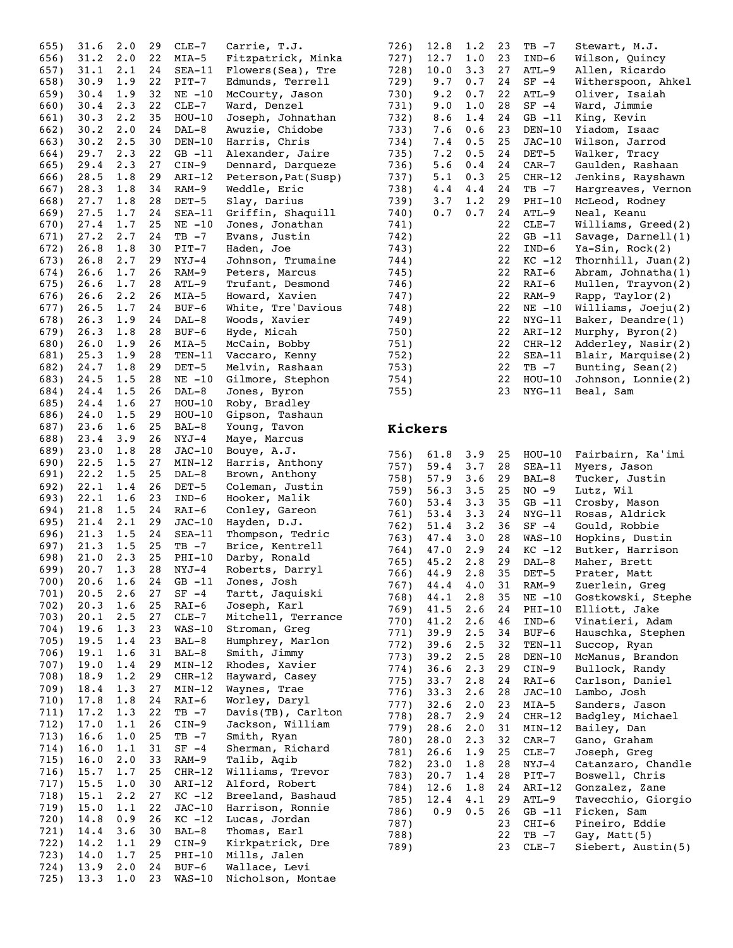| 655)         | 31.6         | 2.0         | 29       | CLE-7               | Carrie, T.J.                       |
|--------------|--------------|-------------|----------|---------------------|------------------------------------|
| 656)         | 31.2         | 2.0         | 22       | MIA-5               | Fitzpatrick, Minka                 |
| 657)         | 31.1         | 2.1         | 24       | SEA-11              | Flowers(Sea), Tre                  |
| 658)         | 30.9         | 1.9         | 22       | PIT-7               | Edmunds, Terrell                   |
| 659)         | 30.4         | 1.9         | 32       | $NE - 10$           | McCourty, Jason                    |
| 660)         | 30.4         | 2.3         | 22       | $CLE-7$             | Ward, Denzel                       |
| 661)         | 30.3         | 2.2         | 35       | $HOU-10$            | Joseph, Johnathan                  |
| 662)         | 30.2         | 2.0         | 24       | $DAL-8$             | Awuzie, Chidobe                    |
| 663)         | 30.2         | 2.5         | 30       | $DEN-10$            | Harris, Chris                      |
| 664)         | 29.7         | 2.3         | 22       | $GB -11$            | Alexander, Jaire                   |
| 665)         | 29.4         | 2.3         | 27       | $CIN-9$             | Dennard, Darqueze                  |
| 666)         | 28.5         | 1.8         | 29       | $ART-12$            | Peterson, Pat (Susp)               |
| 667)         | 28.3         | $1\,.8$     | 34       | RAM-9               | Weddle, Eric                       |
| 668)         | 27.7         | 1.8         | 28       | $DEF-5$             | Slay, Darius                       |
| 669)         | 27.5         | 1.7         | 24       | SEA-11              | Griffin, Shaquill                  |
| 670)         | 27.4         | 1.7         | 25       | $NE -10$            | Jones, Jonathan                    |
| 671)         | 27.2         | 2.7         | 24       | $TB -7$             | Evans,<br>Justin                   |
| 672)         | 26.8         | 1.8         | 30       | $PIT-7$             | Haden, Joe                         |
| 673)         | 26.8         | 2.7         | 29       | NYJ-4               | Johnson, Trumaine                  |
| 674)         | 26.6         | 1.7         | 26       |                     | Peters, Marcus                     |
|              | 26.6         | 1.7         |          | RAM-9               | Trufant, Desmond                   |
| 675)<br>676) |              | 2.2         | 28<br>26 | ATL-9               | Howard, Xavien                     |
|              | 26.6         |             |          | MIA-5               |                                    |
| 677)         | 26.5         | 1.7         | 24       | BUF-6               | White, Tre'Davious                 |
| 678)         | 26.3         | 1.9         | 24       | DAL-8               | Woods, Xavier                      |
| 679)         | 26.3         | 1.8         | 28       | $BUF-6$             | Hyde, Micah                        |
| 680)         | 26.0         | 1.9         | 26       | MIA-5               | McCain, Bobby                      |
| 681)         | 25.3         | 1.9         | 28       | $TEN-11$            | Vaccaro, Kenny                     |
| 682)         | 24.7         | 1.8         | 29       | DET-5               | Melvin, Rashaan                    |
| 683)         | 24.5         | 1.5         | 28       | $NE - 10$           | Gilmore, Stephon                   |
| 684)         | 24.4         | 1.5         | 26       | $DAL-8$             | Jones, Byron                       |
| 685)         | 24.4         | 1.6         | 27       | $HOU-10$            | Roby, Bradley                      |
| 686)         | 24.0         | 1.5         | 29       | $HOU-10$            | Gipson, Tashaun                    |
| 687)         | 23.6         | 1.6         | 25       | BAL-8               | Young, Tavon                       |
| 688)         | 23.4         | 3.9         | 26       | NYJ-4               | Maye, Marcus                       |
| 689)         | 23.0         | 1.8         | 28       | $JAC-10$            | Bouye, A.J.                        |
| 690)         | 22.5         | 1.5         | 27       | $MIN-12$            | Harris, Anthony                    |
| 691)         | 22.2         | 1.5         | 25       | DAL-8               | Brown, Anthony                     |
| 692)         | 22.1         | 1.4         | 26       | $DET-5$             | Coleman, Justin                    |
| 693)         | 22.1         | 1.6         | 23       | IND-6               | Hooker, Malik                      |
|              |              |             |          |                     |                                    |
| 694)         | 21.8         | 1.5         | 24       | RAI-6               | Conley, Gareon                     |
| 695)         | 21.4         | 2.1         | 29       | $JAC-10$            | Hayden, D.J.                       |
| 696)         | 21.3         | 1.5         | 24       | $SEA-11$            | Thompson, Tedric                   |
| 697)         | $21.3 \t1.5$ |             | 25       | $TB - 7$            | Brice, Kentrell                    |
| 698)         | 21.0         | $2 \cdot 3$ | 25       | $PHI-10$            | Darby, Ronald                      |
| 699)         | 20.7         | 1.3         | 28       | NYJ-4               | Roberts, Darryl                    |
| 700)         | 20.6         | 1.6         | 24       | GB -11              | Jones, Josh                        |
| 701)         | 20.5         | 2.6         | 27       | $SF -4$             | Tartt, Jaquiski                    |
| 702)         | 20.3         | 1.6         | 25       | RAI-6               | Joseph, Karl                       |
| 703)         | 20.1         | 2.5         | 27       | $CLE-7$             | Mitchell, Terrance                 |
| 704)         | 19.6         | 1.3         | 23       | $WAS-10$            | Stroman, Greg                      |
| 705)         | 19.5         | 1.4         | 23       | BAL-8               | Humphrey, Marlon                   |
| 706)         | 19.1         | 1.6         | 31       | BAL-8               | Smith, Jimmy                       |
| 707)         | 19.0         | 1.4         | 29       | $MIN-12$            | Rhodes, Xavier                     |
| 708)         | 18.9         | 1.2         | 29       | $CHR-12$            | Hayward, Casey                     |
| 709)         | 18.4         | 1.3         | 27       | $MIN-12$            | Waynes, Trae                       |
| 710)         | 17.8         | 1.8         | 24       | RAI-6               | Worley, Daryl                      |
| 711)         | 17.2         | 1.3         | 22       | TB -7               | Davis(TB), Carlton                 |
| 712)         | 17.0         | 1.1         | 26       | $CIN-9$             | Jackson, William                   |
| 713)         | 16.6         | $1\,.\,0$   | 25       | $TB - 7$            | Smith, Ryan                        |
| 714)         | 16.0         | 1.1         | 31       | $SF -4$             | Sherman, Richard                   |
| 715)         | 16.0         | 2.0         | 33       | RAM-9               | Talib, Aqib                        |
| 716)         | 15.7         | 1.7         | 25       | $CHR-12$            | Williams, Trevor                   |
| 717)         | 15.5         | 1.0         | 30       | ARI-12              | Alford, Robert                     |
| 718)         | 15.1         | 2.2         | 27       | $KC -12$            | Breeland, Bashaud                  |
| 719)         | 15.0         | 1.1         | 22       | $JAC-10$            | Harrison, Ronnie                   |
| 720)         | 14.8         | 0.9         | 26       | $KC -12$            | Lucas, Jordan                      |
| 721)         | 14.4         | 3.6         | 30       | BAL-8               | Thomas, Earl                       |
| 722)         | 14.2         | 1.1         | 29       | $CIN-9$             | Kirkpatrick, Dre                   |
| 723)         | 14.0         | 1.7         | 25       | PHI-10              | Mills, Jalen                       |
| 724)<br>725) | 13.9<br>13.3 | 2.0<br>1.0  | 24<br>23 | $BUF-6$<br>$WAS-10$ | Wallace, Levi<br>Nicholson, Montae |

| 12.7<br>1.0<br>23<br>727)<br>$IND-6$<br>Wilson, Quincy         |  |
|----------------------------------------------------------------|--|
|                                                                |  |
| 728)<br>10.0<br>3.3<br>27<br>Allen, Ricardo<br>ATL-9           |  |
| 729)<br>9.7<br>0.7<br>24<br>Witherspoon, Ahkel<br>$SF -4$      |  |
| 730)<br>9.2<br>0.7<br>22<br>Oliver, Isaiah<br>ATL-9            |  |
| 731)<br>9.0<br>1.0<br>28<br>Ward, Jimmie<br>$SF -4$            |  |
| 8.6<br>King, Kevin<br>732)<br>1.4<br>24<br>$GB -11$            |  |
| 7.6<br>23<br>733)<br>0.6<br>$DEN-10$<br>Yiadom, Isaac          |  |
| 7.4<br>Wilson, Jarrod<br>734)<br>0.5<br>25<br>$JAC-10$         |  |
| 735)<br>7.2<br>0.5<br>24<br>Walker, Tracy<br>DET-5             |  |
| 736)<br>5.6<br>24<br>Gaulden, Rashaan<br>0.4<br>$CAR-7$        |  |
| 25<br>737)<br>5.1<br>0.3<br>Jenkins, Rayshawn<br>$CHR-12$      |  |
| 738)<br>4.4<br>4.4<br>24<br>$TB - 7$<br>Hargreaves, Vernon     |  |
| 739)<br>$3 \cdot 7$<br>1.2<br>29<br>$PHI-10$<br>McLeod, Rodney |  |
| 740)<br>0.7<br>0.7<br>24<br>ATL-9<br>Neal, Keanu               |  |
| 22<br>741)<br>$CLE-7$<br>Williams, Greed(2)                    |  |
| 22<br>$GB -11$<br>Savage, $Darnell(1)$<br>742)                 |  |
| 22<br>$IND-6$<br>$Ya-Sin, Rock(2)$<br>743)                     |  |
| 22<br>Thornhill, $Juan(2)$<br>744)<br>$KC -12$                 |  |
| 22<br>RAI-6<br>Abram, Johnatha(1)<br>745)                      |  |
| 22<br>Mullen, Trayvon(2)<br>746)<br>RAI-6                      |  |
| 747)<br>22<br>RAM-9<br>Rapp, Taylor(2)                         |  |
| 748)<br>22<br>$NE -10$<br>Williams, Joeju(2)                   |  |
| 22<br>Baker, Deandre(1)<br>749)<br>$NYG-11$                    |  |
| 750)<br>22<br>$ART-12$<br>Murphy, Byron(2)                     |  |
| 22<br>Adderley, Nasir(2)<br>751)<br>$CHR-12$                   |  |
| 752)<br>22<br>Blair, Marquise(2)<br>$SEA-11$                   |  |
| 753)<br>22<br>$TB - 7$<br>Bunting, Sean(2)                     |  |
| 754)<br>22<br>$HOU-10$<br>Johnson, Lonnie(2)                   |  |
| 755)<br>23<br>$NYG-11$<br>Beal, Sam                            |  |

#### **Kickers**

| 756) | $61.8$ $3.9$ |     | 25 | $HOU-10$  | Fairbairn, Ka'imi  |
|------|--------------|-----|----|-----------|--------------------|
| 757) | 59.4         | 3.7 | 28 | SEA-11    | Myers, Jason       |
| 758) | 57.9         | 3.6 | 29 | BAL-8     | Tucker, Justin     |
| 759) | 56.3         | 3.5 | 25 | $NO - 9$  | Lutz, Wil          |
| 760) | 53.4         | 3.3 | 35 | $GB -11$  | Crosby, Mason      |
| 761) | 53.4         | 3.3 | 24 | $NYG-11$  | Rosas, Aldrick     |
| 762) | 51.4         | 3.2 | 36 | $SF -4$   | Gould, Robbie      |
| 763) | 47.4         | 3.0 | 28 | $WAS-10$  | Hopkins, Dustin    |
| 764) | 47.0         | 2.9 | 24 | $KC -12$  | Butker, Harrison   |
| 765) | 45.2         | 2.8 | 29 | $DAL-8$   | Maher, Brett       |
| 766) | 44.9         | 2.8 | 35 | $DEF-5$   | Prater, Matt       |
| 767) | 44.4 4.0     |     | 31 | RAM-9     | Zuerlein, Greg     |
| 768) | 44.1         | 2.8 | 35 | $NE - 10$ | Gostkowski, Stephe |
| 769) | 41.5         | 2.6 | 24 | $PHI-10$  | Elliott, Jake      |
| 770) | 41.2         | 2.6 | 46 | $IND-6$   | Vinatieri, Adam    |
| 771) | 39.9         | 2.5 | 34 | BUF-6     | Hauschka, Stephen  |
| 772) | 39.6         | 2.5 | 32 | $TEN-11$  | Succop, Ryan       |
| 773) | 39.2         | 2.5 | 28 | $DEN-10$  | McManus, Brandon   |
| 774) | 36.6         | 2.3 | 29 | $CIN-9$   | Bullock, Randy     |
| 775) | 33.7         | 2.8 | 24 | RAI-6     | Carlson, Daniel    |
| 776) | 33.3         | 2.6 | 28 | $JAC-10$  | Lambo, Josh        |
| 777) | $32.6$ 2.0   |     | 23 | MIA-5     | Sanders, Jason     |
| 778) | 28.7         | 2.9 | 24 | $CHR-12$  | Badgley, Michael   |
| 779) | 28.6         | 2.0 | 31 | $MIN-12$  | Bailey, Dan        |
| 780) | 28.0         | 2.3 | 32 | $CAR-7$   | Gano, Graham       |
| 781) | 26.6         | 1.9 | 25 | $CLE-7$   | Joseph, Greg       |
| 782) | 23.0         | 1.8 | 28 | NYJ-4     | Catanzaro, Chandle |
| 783) | 20.7         | 1.4 | 28 | $PIT-7$   | Boswell, Chris     |
| 784) | 12.6         | 1.8 | 24 | $ART-12$  | Gonzalez, Zane     |
| 785) | 12.4         | 4.1 | 29 | $ATL-9$   | Tavecchio, Giorgio |
| 786) | 0.9          | 0.5 | 26 | $GB -11$  | Ficken, Sam        |
| 787) |              |     | 23 | $CHI-6$   | Pineiro, Eddie     |
| 788) |              |     | 22 | TB -7     | Gay, Matt $(5)$    |
| 789) |              |     | 23 | $CLE-7$   | Siebert, Austin(5) |
|      |              |     |    |           |                    |